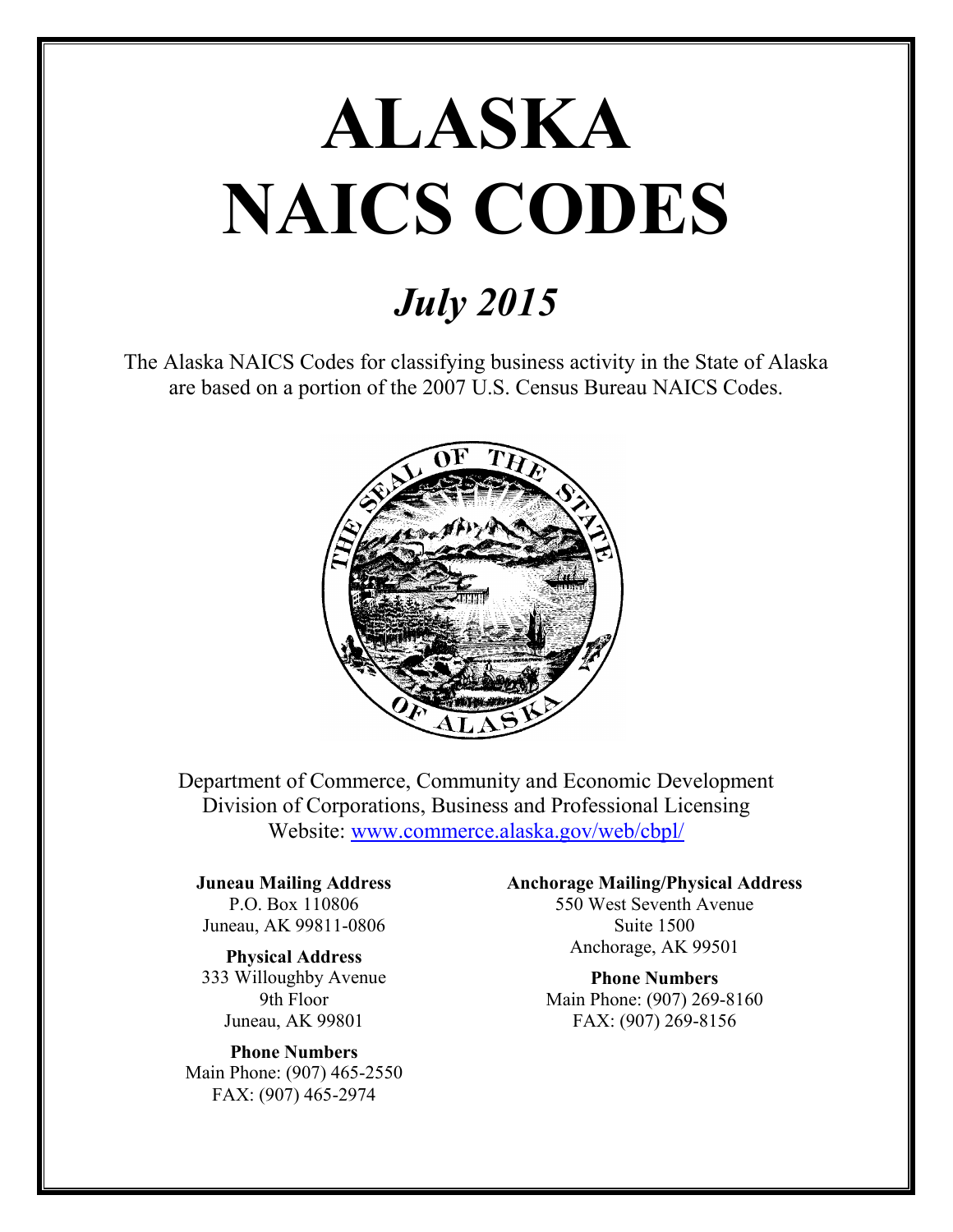# **ALASKA NAICS CODES**

# *July 2015*

The Alaska NAICS Codes for classifying business activity in the State of Alaska are based on a portion of the 2007 U.S. Census Bureau NAICS Codes.



Department of Commerce, Community and Economic Development Division of Corporations, Business and Professional Licensing Website: [www.commerce.alaska.gov/web/cbpl/](http://www.commerce.alaska.gov/web/cbpl/)

#### **Juneau Mailing Address** P.O. Box 110806

Juneau, AK 99811-0806

**Physical Address** 333 Willoughby Avenue 9th Floor Juneau, AK 99801

**Phone Numbers** Main Phone: (907) 465-2550 FAX: (907) 465-2974

**Anchorage Mailing/Physical Address**

550 West Seventh Avenue Suite 1500 Anchorage, AK 99501

**Phone Numbers** Main Phone: (907) 269-8160 FAX: (907) 269-8156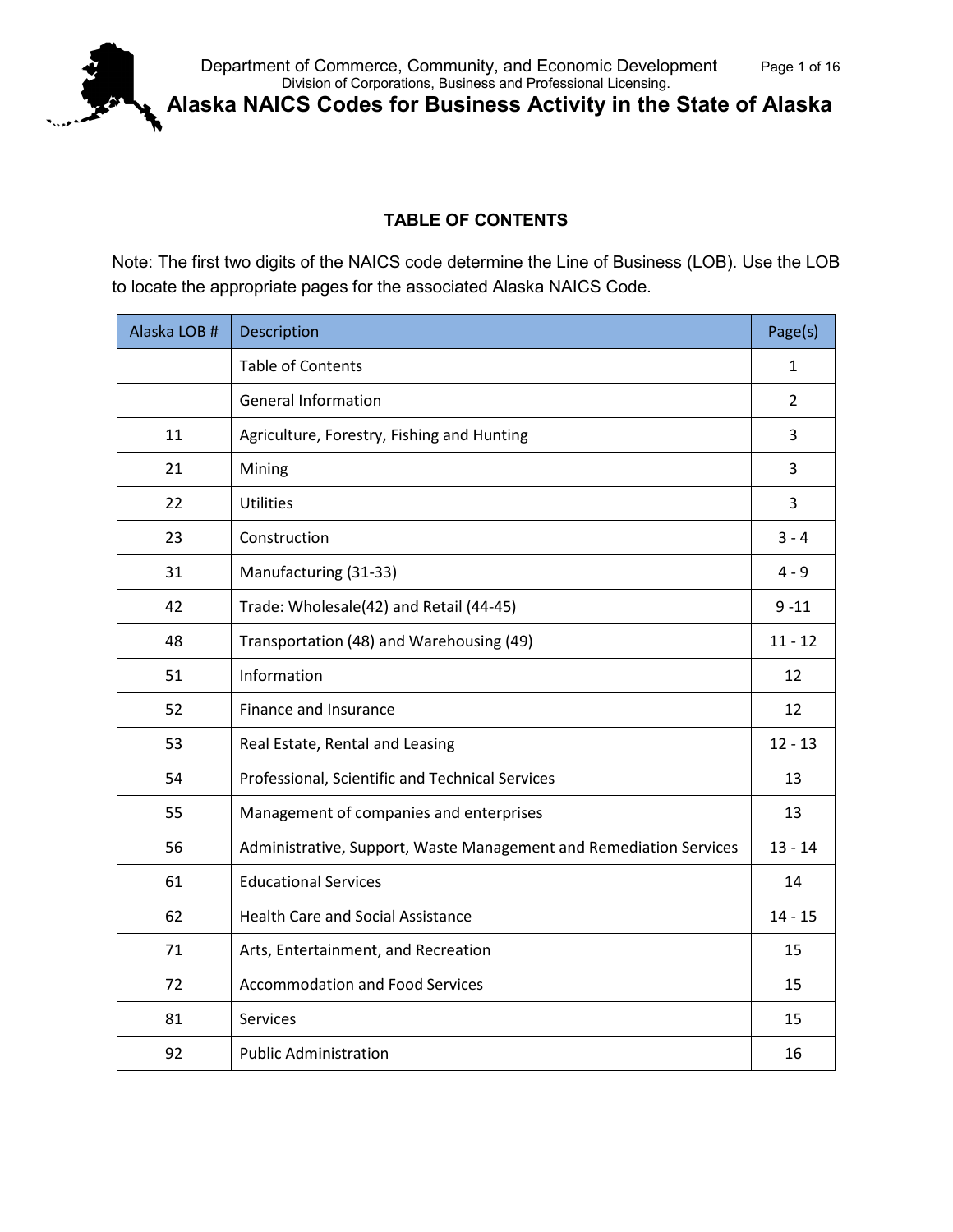

**Alaska NAICS Codes for Business Activity in the State of Alaska**

## **TABLE OF CONTENTS**

Note: The first two digits of the NAICS code determine the Line of Business (LOB). Use the LOB to locate the appropriate pages for the associated Alaska NAICS Code.

| Alaska LOB # | Description                                                        | Page(s)        |
|--------------|--------------------------------------------------------------------|----------------|
|              | <b>Table of Contents</b>                                           | $\mathbf{1}$   |
|              | <b>General Information</b>                                         | $\overline{2}$ |
| 11           | Agriculture, Forestry, Fishing and Hunting                         | 3              |
| 21           | Mining                                                             | 3              |
| 22           | <b>Utilities</b>                                                   | 3              |
| 23           | Construction                                                       | $3 - 4$        |
| 31           | Manufacturing (31-33)                                              | $4 - 9$        |
| 42           | Trade: Wholesale(42) and Retail (44-45)                            | $9 - 11$       |
| 48           | Transportation (48) and Warehousing (49)                           | $11 - 12$      |
| 51           | Information                                                        | 12             |
| 52           | Finance and Insurance                                              | 12             |
| 53           | Real Estate, Rental and Leasing                                    | $12 - 13$      |
| 54           | Professional, Scientific and Technical Services                    | 13             |
| 55           | Management of companies and enterprises                            | 13             |
| 56           | Administrative, Support, Waste Management and Remediation Services | $13 - 14$      |
| 61           | <b>Educational Services</b>                                        | 14             |
| 62           | <b>Health Care and Social Assistance</b>                           | $14 - 15$      |
| 71           | Arts, Entertainment, and Recreation                                | 15             |
| 72           | <b>Accommodation and Food Services</b>                             | 15             |
| 81           | Services                                                           | 15             |
| 92           | <b>Public Administration</b>                                       | 16             |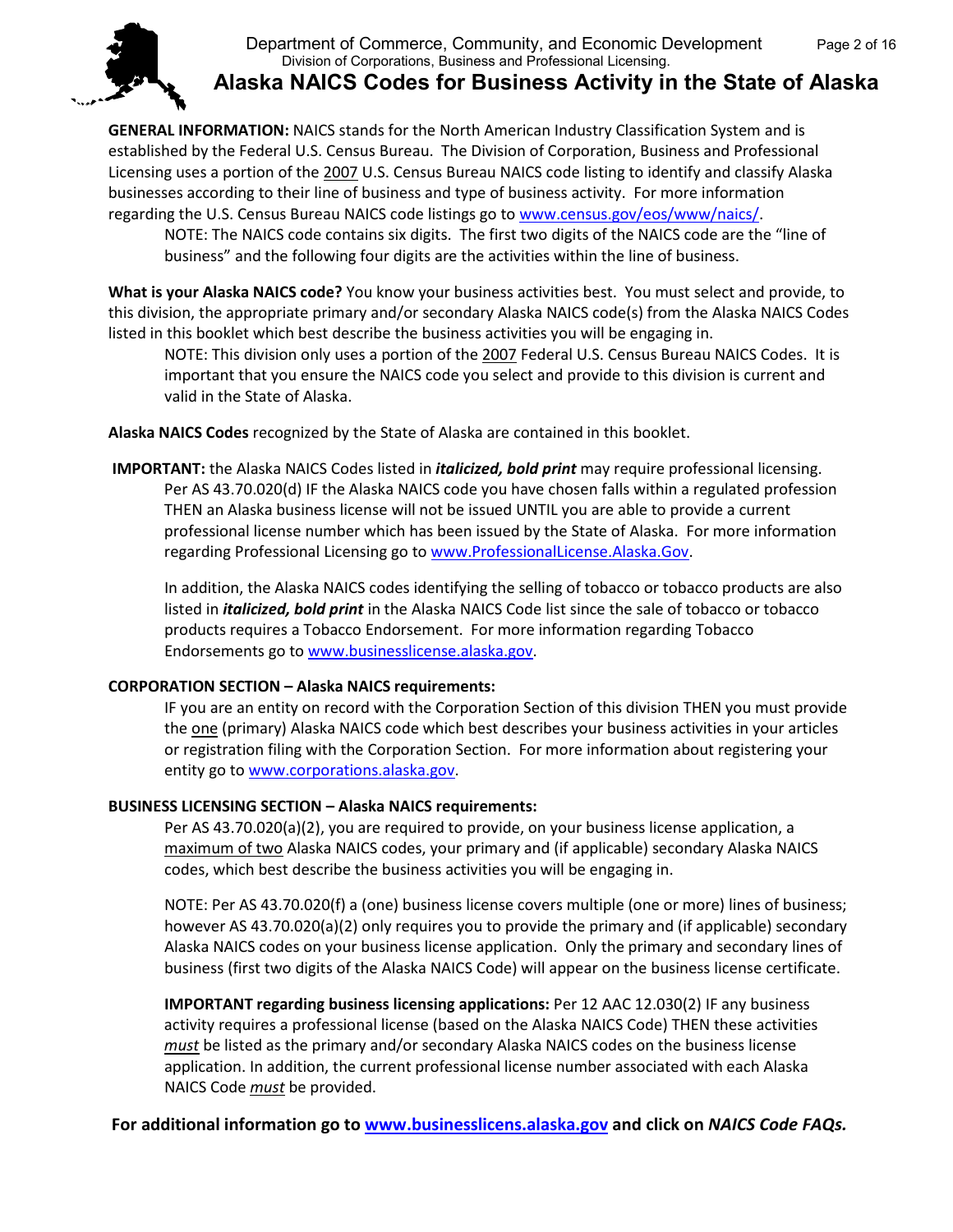

## **Alaska NAICS Codes for Business Activity in the State of Alaska**

**GENERAL INFORMATION:** NAICS stands for the North American Industry Classification System and is established by the Federal U.S. Census Bureau. The Division of Corporation, Business and Professional Licensing uses a portion of the 2007 U.S. Census Bureau NAICS code listing to identify and classify Alaska businesses according to their line of business and type of business activity. For more information regarding the U.S. Census Bureau NAICS code listings go t[o www.census.gov/eos/www/naics/.](http://www.census.gov/eos/www/naics/)

NOTE: The NAICS code contains six digits. The first two digits of the NAICS code are the "line of business" and the following four digits are the activities within the line of business.

**What is your Alaska NAICS code?** You know your business activities best. You must select and provide, to this division, the appropriate primary and/or secondary Alaska NAICS code(s) from the Alaska NAICS Codes listed in this booklet which best describe the business activities you will be engaging in.

NOTE: This division only uses a portion of the 2007 Federal U.S. Census Bureau NAICS Codes. It is important that you ensure the NAICS code you select and provide to this division is current and valid in the State of Alaska.

**Alaska NAICS Codes** recognized by the State of Alaska are contained in this booklet.

**IMPORTANT:** the Alaska NAICS Codes listed in *italicized, bold print* may require professional licensing. Per AS 43.70.020(d) IF the Alaska NAICS code you have chosen falls within a regulated profession THEN an Alaska business license will not be issued UNTIL you are able to provide a current professional license number which has been issued by the State of Alaska. For more information regarding Professional Licensing go to [www.ProfessionalLicense.Alaska.Gov.](http://www.professionallicense.alaska.gov/)

In addition, the Alaska NAICS codes identifying the selling of tobacco or tobacco products are also listed in *italicized, bold print* in the Alaska NAICS Code list since the sale of tobacco or tobacco products requires a Tobacco Endorsement. For more information regarding Tobacco Endorsements go to [www.businesslicense.alaska.gov.](http://www.businesslicense.alaska.gov/)

#### **CORPORATION SECTION – Alaska NAICS requirements:**

IF you are an entity on record with the Corporation Section of this division THEN you must provide the one (primary) Alaska NAICS code which best describes your business activities in your articles or registration filing with the Corporation Section. For more information about registering your entity go t[o www.corporations.alaska.gov.](http://www.corporations.alaska.gov/)

#### **BUSINESS LICENSING SECTION – Alaska NAICS requirements:**

Per AS 43.70.020(a)(2), you are required to provide, on your business license application, a maximum of two Alaska NAICS codes, your primary and (if applicable) secondary Alaska NAICS codes, which best describe the business activities you will be engaging in.

NOTE: Per AS 43.70.020(f) a (one) business license covers multiple (one or more) lines of business; however AS 43.70.020(a)(2) only requires you to provide the primary and (if applicable) secondary Alaska NAICS codes on your business license application. Only the primary and secondary lines of business (first two digits of the Alaska NAICS Code) will appear on the business license certificate.

**IMPORTANT regarding business licensing applications:** Per 12 AAC 12.030(2) IF any business activity requires a professional license (based on the Alaska NAICS Code) THEN these activities *must* be listed as the primary and/or secondary Alaska NAICS codes on the business license application. In addition, the current professional license number associated with each Alaska NAICS Code *must* be provided.

**For additional information go to [www.businesslicens.alaska.gov](http://www.businesslicens.alaska.gov/) and click on** *NAICS Code FAQs.*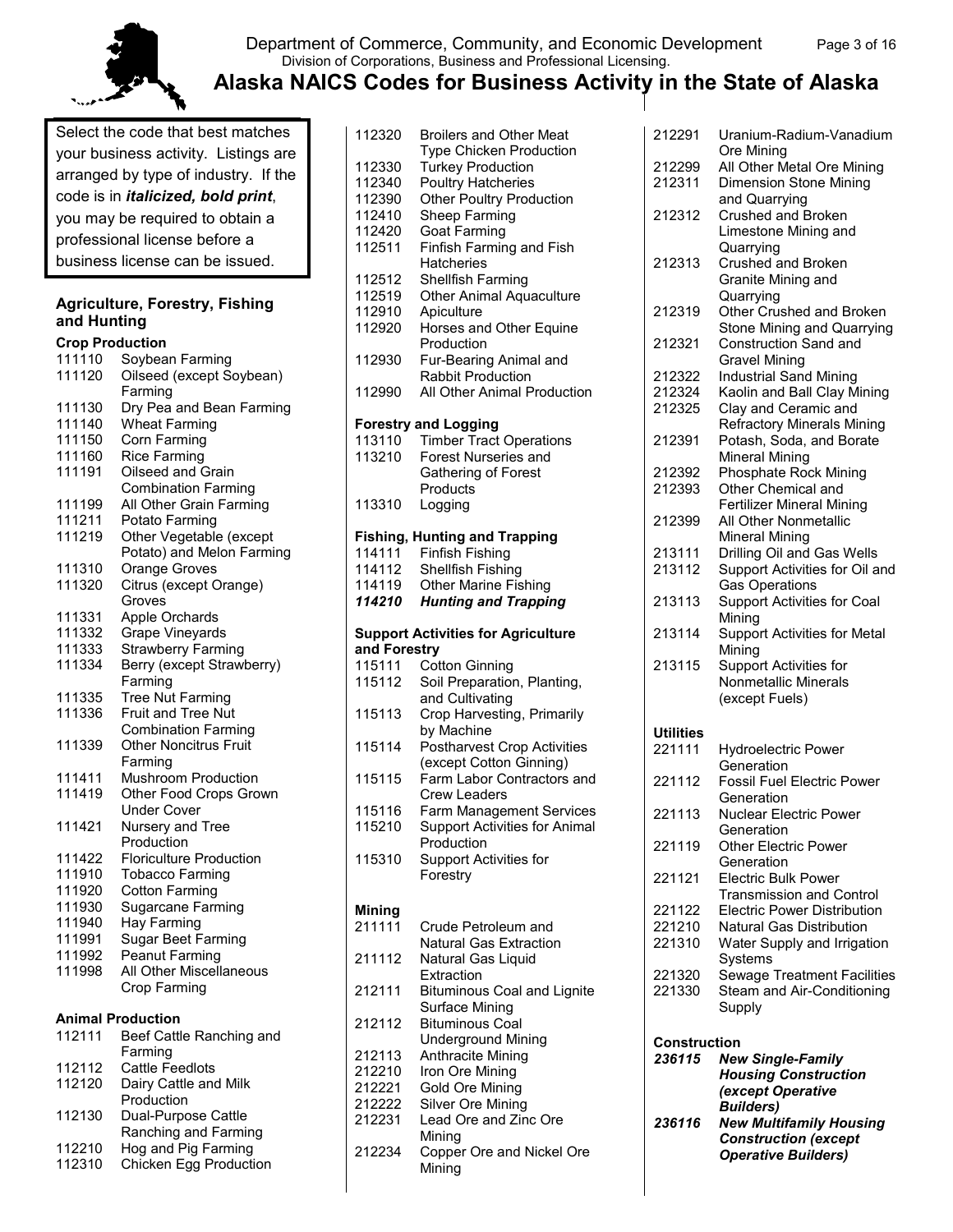

## Department of Commerce, Community, and Economic Development Page 3 of 16 Division of Corporations, Business and Professional Licensing.

Select the code that best matches your business activity. Listings are arranged by type of industry. If the code is in *italicized, bold print*, you may be required to obtain a professional license before a business license can be issued.

#### **Agriculture, Forestry, Fishing and Hunting**

| <b>Crop Production</b>   |                                        |
|--------------------------|----------------------------------------|
| 111110                   | Soybean Farming                        |
| 111120                   | Oilseed (except Soybean)               |
|                          | Farming                                |
| 111130                   | Dry Pea and Bean Farming               |
| 111140                   | <b>Wheat Farming</b>                   |
| 111150                   | Corn Farming                           |
| 111160                   | <b>Rice Farming</b>                    |
| 111191                   | Oilseed and Grain                      |
|                          | <b>Combination Farming</b>             |
| 111199                   | All Other Grain Farming                |
| 111211                   | Potato Farming                         |
| 111219                   | Other Vegetable (except                |
|                          | Potato) and Melon Farming              |
| 111310                   | Orange Groves                          |
| 111320                   | Citrus (except Orange)                 |
|                          | Groves                                 |
| 111331                   | Apple Orchards                         |
| 111332                   | Grape Vineyards                        |
| 111333                   | Strawberry Farming                     |
| 111334                   | Berry (except Strawberry)              |
|                          | Farming                                |
|                          |                                        |
| 111335                   | Tree Nut Farming<br>Fruit and Tree Nut |
| 111336                   |                                        |
|                          | <b>Combination Farming</b>             |
| 111339                   | <b>Other Noncitrus Fruit</b>           |
|                          | Farming                                |
| 111411                   | Mushroom Production                    |
| 111419                   | Other Food Crops Grown                 |
|                          | <b>Under Cover</b>                     |
| 111421                   | Nursery and Tree                       |
|                          | Production                             |
| 111422                   | <b>Floriculture Production</b>         |
| 111910                   | <b>Tobacco Farming</b>                 |
| 111920                   | <b>Cotton Farming</b>                  |
| 111930                   | Sugarcane Farming                      |
| 111940                   | Hay Farming                            |
| 111991                   | Sugar Beet Farming                     |
| 111992                   | <b>Peanut Farming</b>                  |
| 111998                   | All Other Miscellaneous                |
|                          | Crop Farming                           |
| <b>Animal Production</b> |                                        |
| 112111                   | Beef Cattle Ranching and               |
|                          | Farming                                |
| 112112                   | Cattle Feedlots                        |
| 112120                   | Dairy Cattle and Milk                  |
|                          | المثلقات وا                            |

|        | Production           |
|--------|----------------------|
| 112130 | Dual-Purpose Cattle  |
|        | Ranching and Farming |
| 112210 | Hog and Pig Farming  |

112310 Chicken Egg Production

| 112330<br>112340<br>112390<br>112410<br>112420<br>112511<br>112512<br>112519<br>112910<br>112920<br>112930 | <b>Broilers and Other Meat</b><br><b>Type Chicken Production</b><br><b>Turkey Production</b><br><b>Poultry Hatcheries</b><br><b>Other Poultry Production</b><br>Sheep Farming<br><b>Goat Farming</b><br>Finfish Farming and Fish<br>Hatcheries<br>Shellfish Farming<br><b>Other Animal Aquaculture</b><br>Apiculture<br>Horses and Other Equine<br>Production<br>Fur-Bearing Animal and |
|------------------------------------------------------------------------------------------------------------|-----------------------------------------------------------------------------------------------------------------------------------------------------------------------------------------------------------------------------------------------------------------------------------------------------------------------------------------------------------------------------------------|
| 112990                                                                                                     | <b>Rabbit Production</b><br>All Other Animal Production                                                                                                                                                                                                                                                                                                                                 |
| 113110<br>113210<br>113310                                                                                 | <b>Forestry and Logging</b><br><b>Timber Tract Operations</b><br><b>Forest Nurseries and</b><br>Gathering of Forest<br>Products<br>Logging                                                                                                                                                                                                                                              |
|                                                                                                            | <b>Fishing, Hunting and Trapping</b>                                                                                                                                                                                                                                                                                                                                                    |
| 114111                                                                                                     | <b>Finfish Fishing</b>                                                                                                                                                                                                                                                                                                                                                                  |
| 114112                                                                                                     | <b>Shellfish Fishing</b>                                                                                                                                                                                                                                                                                                                                                                |
| 114119                                                                                                     | <b>Other Marine Fishing</b>                                                                                                                                                                                                                                                                                                                                                             |
| 114210                                                                                                     | <b>Hunting and Trapping</b>                                                                                                                                                                                                                                                                                                                                                             |
|                                                                                                            | <b>Support Activities for Agriculture</b>                                                                                                                                                                                                                                                                                                                                               |
| and Forestry                                                                                               |                                                                                                                                                                                                                                                                                                                                                                                         |
| 115111                                                                                                     | <b>Cotton Ginning</b>                                                                                                                                                                                                                                                                                                                                                                   |
| 115112                                                                                                     | Soil Preparation, Planting,<br>and Cultivating                                                                                                                                                                                                                                                                                                                                          |
|                                                                                                            |                                                                                                                                                                                                                                                                                                                                                                                         |
| 115113                                                                                                     | Crop Harvesting, Primarily<br>by Machine                                                                                                                                                                                                                                                                                                                                                |
| 115114                                                                                                     | <b>Postharvest Crop Activities</b>                                                                                                                                                                                                                                                                                                                                                      |
| 115115                                                                                                     | (except Cotton Ginning)<br>Farm Labor Contractors and<br><b>Crew Leaders</b>                                                                                                                                                                                                                                                                                                            |
| 115116                                                                                                     |                                                                                                                                                                                                                                                                                                                                                                                         |
|                                                                                                            | Farm Management Services                                                                                                                                                                                                                                                                                                                                                                |
| 115210                                                                                                     | <b>Support Activities for Animal</b>                                                                                                                                                                                                                                                                                                                                                    |
| 115310                                                                                                     | Production<br><b>Support Activities for</b><br>Forestry                                                                                                                                                                                                                                                                                                                                 |
|                                                                                                            |                                                                                                                                                                                                                                                                                                                                                                                         |
| Mining                                                                                                     |                                                                                                                                                                                                                                                                                                                                                                                         |
| 211111                                                                                                     | Crude Petroleum and                                                                                                                                                                                                                                                                                                                                                                     |
| 211112                                                                                                     | <b>Natural Gas Extraction</b><br>Natural Gas Liquid                                                                                                                                                                                                                                                                                                                                     |
|                                                                                                            | Extraction                                                                                                                                                                                                                                                                                                                                                                              |
| 212111                                                                                                     | <b>Bituminous Coal and Lignite</b>                                                                                                                                                                                                                                                                                                                                                      |
| 212112                                                                                                     | Surface Mining<br><b>Bituminous Coal</b>                                                                                                                                                                                                                                                                                                                                                |
|                                                                                                            | <b>Underground Mining</b>                                                                                                                                                                                                                                                                                                                                                               |
| 212113                                                                                                     | Anthracite Mining                                                                                                                                                                                                                                                                                                                                                                       |
| 212210                                                                                                     | Iron Ore Mining                                                                                                                                                                                                                                                                                                                                                                         |
| 212221                                                                                                     | Gold Ore Mining                                                                                                                                                                                                                                                                                                                                                                         |
| 212222                                                                                                     | Silver Ore Mining                                                                                                                                                                                                                                                                                                                                                                       |
| 212231                                                                                                     | Lead Ore and Zinc Ore<br>Mining                                                                                                                                                                                                                                                                                                                                                         |

| 212291       | Uranium-Radium-Vanadium             |
|--------------|-------------------------------------|
|              | Ore Mining                          |
| 212299       | All Other Metal Ore Mining          |
| 212311       | <b>Dimension Stone Mining</b>       |
|              | and Quarrying                       |
| 212312       | <b>Crushed and Broken</b>           |
|              | Limestone Mining and                |
|              | Quarrying                           |
| 212313       | Crushed and Broken                  |
|              | Granite Mining and                  |
|              | Quarrying                           |
| 212319       | Other Crushed and Broken            |
|              | Stone Mining and Quarrying          |
| 212321       | Construction Sand and               |
|              | <b>Gravel Mining</b>                |
| 212322       | <b>Industrial Sand Mining</b>       |
| 212324       | Kaolin and Ball Clay Mining         |
| 212325       | Clay and Ceramic and                |
|              | <b>Refractory Minerals Mining</b>   |
| 212391       | Potash, Soda, and Borate            |
|              | <b>Mineral Mining</b>               |
| 212392       | <b>Phosphate Rock Mining</b>        |
| 212393       | Other Chemical and                  |
|              | <b>Fertilizer Mineral Mining</b>    |
| 212399       | All Other Nonmetallic               |
|              | <b>Mineral Mining</b>               |
| 213111       | Drilling Oil and Gas Wells          |
| 213112       | Support Activities for Oil and      |
|              | <b>Gas Operations</b>               |
| 213113       | <b>Support Activities for Coal</b>  |
|              | Mining                              |
| 213114       | <b>Support Activities for Metal</b> |
|              | Mining                              |
| 213115       | Support Activities for              |
|              | Nonmetallic Minerals                |
|              | (except Fuels)                      |
| Utilities    |                                     |
| 221111       | <b>Hydroelectric Power</b>          |
|              | Generation                          |
| 221112       | <b>Fossil Fuel Electric Power</b>   |
|              | Generation                          |
| 221113       | Nuclear Electric Power              |
|              | Generation                          |
| 221119       | <b>Other Electric Power</b>         |
|              | Generation                          |
| 221121       | <b>Electric Bulk Power</b>          |
|              | <b>Transmission and Control</b>     |
| 221122       | <b>Electric Power Distribution</b>  |
| 221210       | <b>Natural Gas Distribution</b>     |
| 221310       | Water Supply and Irrigation         |
|              | Systems                             |
| 221320       | <b>Sewage Treatment Facilities</b>  |
| 221330       | Steam and Air-Conditioning          |
|              | Supply                              |
|              |                                     |
| Construction |                                     |
|              | 236115 New Single-Family            |

| 236115 | <b>New Single-Family</b>         |
|--------|----------------------------------|
|        | <b>Housing Construction</b>      |
|        | <i><b>(except Operative)</b></i> |
|        | <b>Builders</b> )                |
| 236116 | <b>New Multifamily Housing</b>   |
|        | <b>Construction (except</b>      |
|        | <b>Operative Builders)</b>       |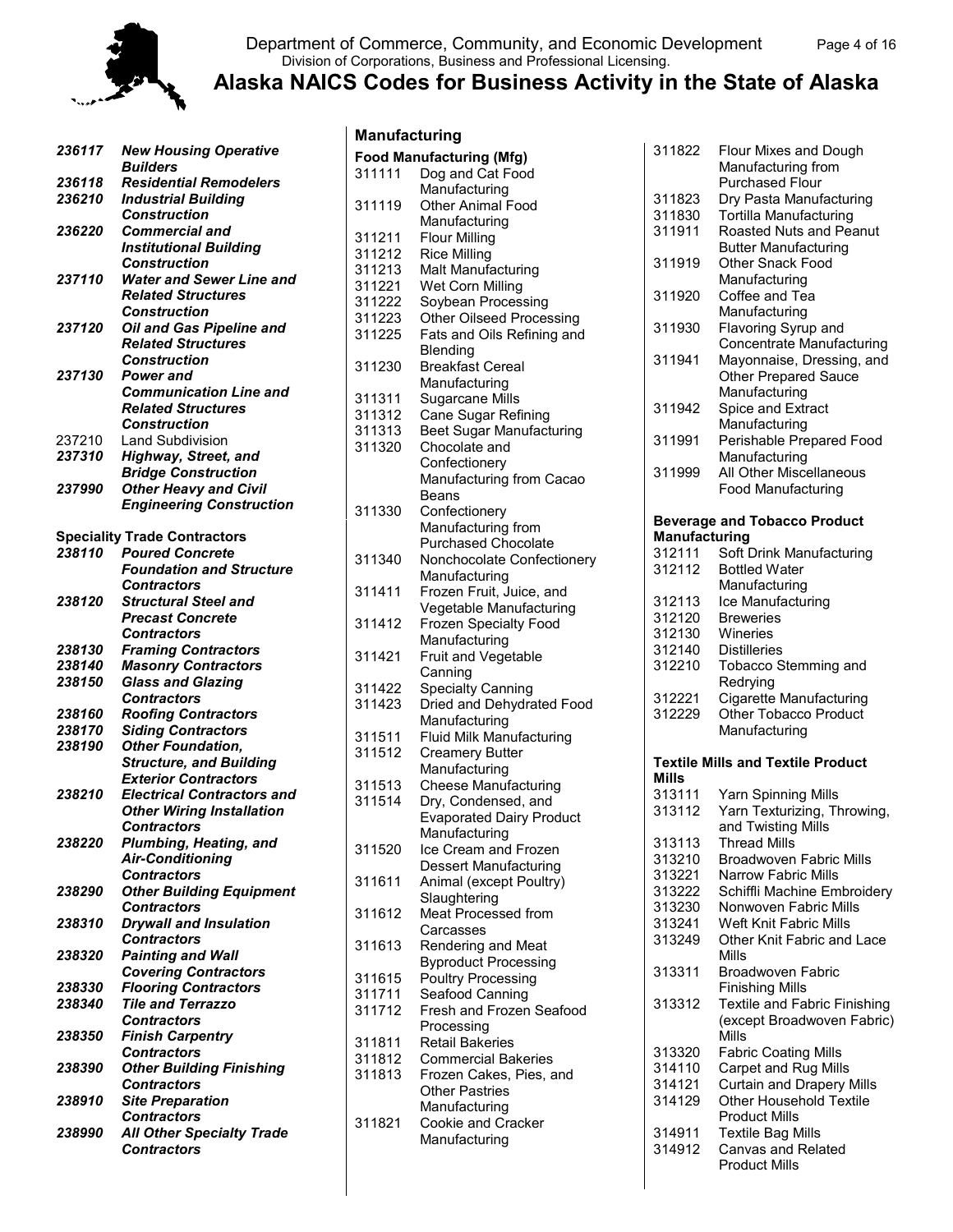

#### Department of Commerce, Community, and Economic Development Page 4 of 16 Division of Corporations, Business and Professional Licensing.

| 236117 | <b>New Housing Operative</b><br><b>Builders</b> |
|--------|-------------------------------------------------|
| 236118 | <b>Residential Remodelers</b>                   |
| 236210 | <b>Industrial Building</b>                      |
|        | Construction                                    |
|        |                                                 |
| 236220 | <b>Commercial and</b>                           |
|        | <b>Institutional Building</b>                   |
|        | Construction                                    |
| 237110 | <b>Water and Sewer Line and</b>                 |
|        | <b>Related Structures</b>                       |
|        | <b>Construction</b>                             |
| 237120 | Oil and Gas Pipeline and                        |
|        | <b>Related Structures</b>                       |
|        | <b>Construction</b>                             |
| 237130 | Power and                                       |
|        | <b>Communication Line and</b>                   |
|        | <b>Related Structures</b>                       |
|        |                                                 |
|        | Construction                                    |
| 237210 | <b>Land Subdivision</b>                         |
| 237310 | Highway, Street, and                            |
|        | <b>Bridge Construction</b>                      |
| 237990 | <b>Other Heavy and Civil</b>                    |
|        | <b>Engineering Construction</b>                 |
|        |                                                 |
|        | <b>Speciality Trade Contractors</b>             |
| 238110 | <b>Poured Concrete</b>                          |
|        | <b>Foundation and Structure</b>                 |
|        | <b>Contractors</b>                              |
| 238120 | <b>Structural Steel and</b>                     |
|        | <b>Precast Concrete</b>                         |
|        |                                                 |
|        | <b>Contractors</b>                              |
| 238130 | <b>Framing Contractors</b>                      |
| 238140 | <b>Masonry Contractors</b>                      |
| 238150 | <b>Glass and Glazing</b>                        |
|        | <b>Contractors</b>                              |
| 238160 | <b>Roofing Contractors</b>                      |
| 238170 | <b>Siding Contractors</b>                       |
| 238190 | <b>Other Foundation,</b>                        |
|        | <b>Structure, and Building</b>                  |
|        | <b>Exterior Contractors</b>                     |
| 238210 | <b>Electrical Contractors and</b>               |
|        | <b>Other Wiring Installation</b>                |
|        | Contractors                                     |
| 238220 | Plumbing, Heating, and                          |
|        | <b>Air-Conditioning</b>                         |
|        | <b>Contractors</b>                              |
|        |                                                 |
| 238290 | <b>Other Building Equipment</b>                 |
|        | <b>Contractors</b>                              |
| 238310 | <b>Drywall and Insulation</b>                   |
|        | <b>Contractors</b>                              |
| 238320 | <b>Painting and Wall</b>                        |
|        | <b>Covering Contractors</b>                     |
| 238330 | <b>Flooring Contractors</b>                     |
| 238340 | <b>Tile and Terrazzo</b>                        |
|        | <b>Contractors</b>                              |
| 238350 | <b>Finish Carpentry</b>                         |
|        | <b>Contractors</b>                              |
| 238390 | <b>Other Building Finishing</b>                 |
|        | <b>Contractors</b>                              |
| 238910 | <b>Site Preparation</b>                         |
|        | <b>Contractors</b>                              |
| 238990 | <b>All Other Specialty Trade</b>                |
|        | <b>Contractors</b>                              |
|        |                                                 |

| Manufacturing    |                                                          |
|------------------|----------------------------------------------------------|
|                  | <b>Food Manufacturing (Mfg)</b>                          |
| 311111           | Dog and Cat Food                                         |
|                  | Manufacturing                                            |
| 311119           | Other Animal Food                                        |
|                  | Manufacturing                                            |
| 311211           | <b>Flour Milling</b>                                     |
| 311212           | <b>Rice Milling</b>                                      |
| 311213           | Malt Manufacturing                                       |
| 311221           | Wet Corn Milling                                         |
| 311222<br>311223 | Soybean Processing<br>Other Oilseed Processing           |
| 311225           | Fats and Oils Refining and                               |
|                  | Blending                                                 |
| 311230           | <b>Breakfast Cereal</b>                                  |
|                  | Manufacturing                                            |
| 311311           | Sugarcane Mills                                          |
| 311312           | Cane Sugar Refining                                      |
| 311313           | <b>Beet Sugar Manufacturing</b>                          |
| 311320           | Chocolate and                                            |
|                  | Confectionery                                            |
|                  | Manufacturing from Cacao                                 |
|                  | Beans                                                    |
| 311330           | Confectionery                                            |
|                  | Manufacturing from<br>Purchased Chocolate                |
| 311340           | Nonchocolate Confectionery                               |
|                  | Manufacturing                                            |
| 311411           | Frozen Fruit, Juice, and                                 |
|                  | Vegetable Manufacturing                                  |
| 311412           | Frozen Specialty Food                                    |
|                  | Manufacturing                                            |
| 311421           | Fruit and Vegetable                                      |
| 311422           | Canning<br><b>Specialty Canning</b>                      |
| 311423           | Dried and Dehydrated Food                                |
|                  | Manufacturing                                            |
| 311511           | <b>Fluid Milk Manufacturing</b>                          |
| 311512           | <b>Creamery Butter</b>                                   |
|                  | Manufacturing                                            |
| 311513           | <b>Cheese Manufacturing</b>                              |
| 311514           | Dry, Condensed, and                                      |
|                  | Evaporated Dairy Product<br>Manufacturing                |
| 311520           | Ice Cream and Frozen                                     |
|                  | <b>Dessert Manufacturing</b>                             |
| 311611           | Animal (except Poultry)                                  |
|                  | Slaughtering                                             |
| 311612           | <b>Meat Processed from</b>                               |
|                  | Carcasses                                                |
| 311613           | Rendering and Meat                                       |
| 311615           | <b>Byproduct Processing</b><br><b>Poultry Processing</b> |
| 311711           | Seafood Canning                                          |
| 311712           | Fresh and Frozen Seafood                                 |
|                  | Processing                                               |
| 311811           | <b>Retail Bakeries</b>                                   |
| 311812           | <b>Commercial Bakeries</b>                               |
| 311813           | Frozen Cakes, Pies, and                                  |
|                  | <b>Other Pastries</b>                                    |
| 311821           | Manufacturing<br>Cookie and Cracker                      |
|                  | Manufacturing                                            |
|                  |                                                          |
|                  |                                                          |

| 311822               | Flour Mixes and Dough<br>Manufacturing from<br><b>Purchased Flour</b> |
|----------------------|-----------------------------------------------------------------------|
| 311823               | Dry Pasta Manufacturing                                               |
| 311830               | <b>Tortilla Manufacturing</b>                                         |
| 311911               | Roasted Nuts and Peanut                                               |
|                      | <b>Butter Manufacturing</b>                                           |
| 311919               | <b>Other Snack Food</b>                                               |
|                      | Manufacturing                                                         |
| 311920               | Coffee and Tea                                                        |
|                      | Manufacturing                                                         |
|                      |                                                                       |
| 311930               | Flavoring Syrup and<br>Concentrate Manufacturing                      |
| 311941               |                                                                       |
|                      | Mayonnaise, Dressing, and                                             |
|                      | <b>Other Prepared Sauce</b>                                           |
|                      | Manufacturing                                                         |
| 311942               | Spice and Extract                                                     |
|                      | Manufacturing                                                         |
| 311991               | Perishable Prepared Food                                              |
|                      | Manufacturing                                                         |
| 311999               | All Other Miscellaneous                                               |
|                      | Food Manufacturing                                                    |
|                      |                                                                       |
| <b>Manufacturing</b> | <b>Beverage and Tobacco Product</b>                                   |
| 312111               |                                                                       |
| 312112               | Soft Drink Manufacturing<br><b>Bottled Water</b>                      |
|                      |                                                                       |
|                      | Manufacturing                                                         |
| 312113               | Ice Manufacturing                                                     |
| 312120               | <b>Breweries</b>                                                      |
| 312130               | Wineries                                                              |
| 312140               | Distilleries                                                          |
| 312210               | Tobacco Stemming and                                                  |
|                      |                                                                       |
|                      | Redrying                                                              |
| 312221               | Cigarette Manufacturing                                               |
| 312229               | <b>Other Tobacco Product</b>                                          |
|                      | Manufacturing                                                         |
|                      |                                                                       |
|                      | <b>Textile Mills and Textile Product</b>                              |
| Mills                |                                                                       |
| 313111               | Yarn Spinning Mills                                                   |
| 313112               | Yarn Texturizing, Throwing,                                           |
|                      | and Twisting Mills                                                    |
| 313113               | <b>Thread Mills</b>                                                   |
| 313210               | <b>Broadwoven Fabric Mills</b>                                        |
| 313221               | <b>Narrow Fabric Mills</b>                                            |
| 313222               | Schiffli Machine Embroidery                                           |
| 313230               | Nonwoven Fabric Mills                                                 |
| 313241               | Weft Knit Fabric Mills                                                |
| 313249               | Other Knit Fabric and Lace                                            |
|                      | Mills                                                                 |
| 313311               | Broadwoven Fabric                                                     |
|                      | <b>Finishing Mills</b>                                                |
| 313312               | Textile and Fabric Finishing                                          |
|                      | (except Broadwoven Fabric)                                            |
|                      | Mills                                                                 |
| 313320               | <b>Fabric Coating Mills</b>                                           |
| 314110               | Carpet and Rug Mills                                                  |
| 314121               | <b>Curtain and Drapery Mills</b>                                      |
| 314129               | Other Household Textile                                               |
|                      | <b>Product Mills</b>                                                  |
| 314911               | <b>Textile Bag Mills</b>                                              |
| 314912               | <b>Canvas and Related</b><br><b>Product Mills</b>                     |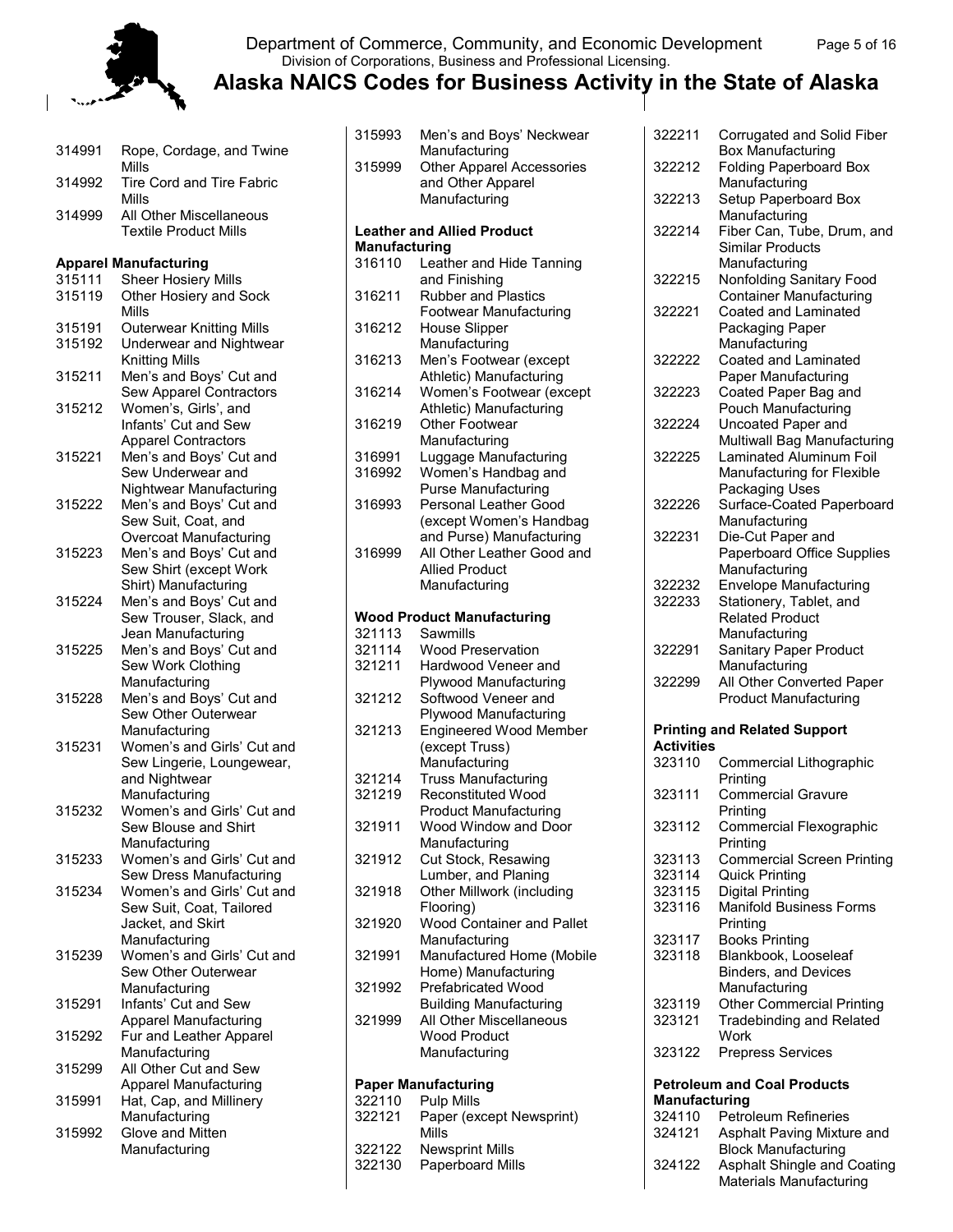

Department of Commerce, Community, and Economic Development Page 5 of 16 Division of Corporations, Business and Professional Licensing.

315993 Men's and Boys' Neckwear

| 314991 | Rope, Cordage, and Twine<br>Mills                         |
|--------|-----------------------------------------------------------|
| 314992 | Tire Cord and Tire Fabric                                 |
| 314999 | Mills<br>All Other Miscellaneous<br>Textile Product Mills |
|        | <b>Apparel Manufacturing</b>                              |
| 315111 | <b>Sheer Hosiery Mills</b>                                |
| 315119 | Other Hosiery and Sock<br>Mills                           |
| 315191 | <b>Outerwear Knitting Mills</b>                           |
| 315192 | Underwear and Nightwear                                   |
|        | <b>Knitting Mills</b>                                     |
| 315211 | Men's and Boys' Cut and<br>Sew Apparel Contractors        |
| 315212 | Women's, Girls', and                                      |
|        | Infants' Cut and Sew                                      |
|        | <b>Apparel Contractors</b>                                |
| 315221 | Men's and Boys' Cut and                                   |
|        | Sew Underwear and                                         |
|        |                                                           |
| 315222 | Nightwear Manufacturing                                   |
|        | Men's and Boys' Cut and                                   |
|        | Sew Suit, Coat, and                                       |
|        | <b>Overcoat Manufacturing</b>                             |
| 315223 | Men's and Boys' Cut and                                   |
|        | Sew Shirt (except Work                                    |
|        | Shirt) Manufacturing                                      |
| 315224 | Men's and Boys' Cut and                                   |
|        | Sew Trouser, Slack, and                                   |
|        | Jean Manufacturing                                        |
| 315225 | Men's and Boys' Cut and                                   |
|        | Sew Work Clothing                                         |
|        | Manufacturing                                             |
| 315228 | Men's and Boys' Cut and                                   |
|        | Sew Other Outerwear                                       |
|        | Manufacturing                                             |
| 315231 | Women's and Girls' Cut and<br>Sew Lingerie, Loungewear,   |
|        |                                                           |
|        | and Nightwear<br>Manufacturing                            |
| 315232 | Women's and Girls' Cut and                                |
|        | Sew Blouse and Shirt                                      |
|        | Manufacturing                                             |
| 315233 | Women's and Girls' Cut and                                |
|        | Sew Dress Manufacturing                                   |
| 315234 | Women's and Girls' Cut and                                |
|        | Sew Suit, Coat, Tailored                                  |
|        | Jacket, and Skirt                                         |
|        | Manufacturing                                             |
| 315239 | Women's and Girls' Cut and                                |
|        | Sew Other Outerwear                                       |
|        | Manufacturing                                             |
| 315291 | Infants' Cut and Sew                                      |
|        | <b>Apparel Manufacturing</b>                              |
| 315292 | Fur and Leather Apparel                                   |
|        |                                                           |
| 315299 | Manufacturing<br>All Other Cut and Sew                    |
|        | <b>Apparel Manufacturing</b>                              |
| 315991 |                                                           |
|        | Hat, Cap, and Millinery<br>Manufacturing                  |
| 315992 | Glove and Mitten                                          |
|        | Manufacturing                                             |
|        |                                                           |

| 315999               | Manufacturing<br><b>Other Apparel Accessories</b><br>and Other Apparel<br>Manufacturing |
|----------------------|-----------------------------------------------------------------------------------------|
|                      |                                                                                         |
|                      | <b>Leather and Allied Product</b>                                                       |
| <b>Manufacturing</b> |                                                                                         |
| 316110               | Leather and Hide Tanning                                                                |
| 316211               | and Finishing<br><b>Rubber and Plastics</b>                                             |
|                      | Footwear Manufacturing                                                                  |
| 316212               | House Slipper<br>Manufacturing                                                          |
| 316213               | Men's Footwear (except<br>Athletic) Manufacturing                                       |
| 316214               | Women's Footwear (except                                                                |
| 316219               | Athletic) Manufacturing<br><b>Other Footwear</b>                                        |
|                      | Manufacturing                                                                           |
| 316991               | Luggage Manufacturing                                                                   |
| 316992               | Women's Handbag and<br><b>Purse Manufacturing</b>                                       |
| 316993               | Personal Leather Good                                                                   |
|                      |                                                                                         |
|                      | (except Women's Handbag                                                                 |
|                      | and Purse) Manufacturing                                                                |
| 316999               | All Other Leather Good and                                                              |
|                      | <b>Allied Product</b>                                                                   |
|                      | Manufacturing                                                                           |
|                      | <b>Wood Product Manufacturing</b>                                                       |
| 321113               | Sawmills                                                                                |
| 321114               | <b>Wood Preservation</b>                                                                |
| 321211               | Hardwood Veneer and                                                                     |
|                      |                                                                                         |
|                      | <b>Plywood Manufacturing</b>                                                            |
| 321212               | Softwood Veneer and                                                                     |
|                      | <b>Plywood Manufacturing</b>                                                            |
| 321213               | <b>Engineered Wood Member</b>                                                           |
|                      | (except Truss)                                                                          |
|                      | Manufacturing                                                                           |
| 321214               | <b>Truss Manufacturing</b>                                                              |
| 321219               | <b>Reconstituted Wood</b>                                                               |
|                      | <b>Product Manufacturing</b>                                                            |
| 321911               | Wood Window and Door                                                                    |
|                      | Manufacturing                                                                           |
| 321912               | Cut Stock, Resawing                                                                     |
|                      |                                                                                         |
| 321918               | Lumber, and Planing<br>Other Millwork (including                                        |
|                      | Flooring)                                                                               |
| 321920               | Wood Container and Pallet                                                               |
|                      | Manufacturing                                                                           |
| 321991               | Manufactured Home (Mobile                                                               |
|                      | Home) Manufacturing                                                                     |
| 321992               | Prefabricated Wood                                                                      |
|                      | <b>Building Manufacturing</b>                                                           |
| 321999               | All Other Miscellaneous                                                                 |
|                      | <b>Wood Product</b>                                                                     |
|                      | Manufacturing                                                                           |
|                      |                                                                                         |
|                      | <b>Paper Manufacturing</b>                                                              |
| 322110               | <b>Pulp Mills</b>                                                                       |
| 322121               | Paper (except Newsprint)                                                                |
|                      | Mills                                                                                   |
| 322122               | <b>Newsprint Mills</b>                                                                  |
| 322130               | Paperboard Mills                                                                        |
|                      |                                                                                         |

| 322211            | Corrugated and Solid Fiber                                |
|-------------------|-----------------------------------------------------------|
| 322212            | <b>Box Manufacturing</b><br><b>Folding Paperboard Box</b> |
|                   | Manufacturing                                             |
| 322213            | Setup Paperboard Box<br>Manufacturing                     |
| 322214            | Fiber Can, Tube, Drum, and<br><b>Similar Products</b>     |
| 322215            | Manufacturing<br>Nonfolding Sanitary Food                 |
| 322221            | <b>Container Manufacturing</b>                            |
|                   | Coated and Laminated<br>Packaging Paper<br>Manufacturing  |
| 322222            | Coated and Laminated<br>Paper Manufacturing               |
| 322223            | Coated Paper Bag and<br>Pouch Manufacturing               |
| 322224            | Uncoated Paper and                                        |
|                   | Multiwall Bag Manufacturing                               |
| 322225            | Laminated Aluminum Foil<br>Manufacturing for Flexible     |
|                   | Packaging Uses                                            |
| 322226            | Surface-Coated Paperboard                                 |
| 322231            | Manufacturing<br>Die-Cut Paper and                        |
|                   | <b>Paperboard Office Supplies</b>                         |
|                   | Manufacturing                                             |
| 322232            | Envelope Manufacturing                                    |
| 322233            | Stationery, Tablet, and                                   |
|                   | <b>Related Product</b>                                    |
|                   | Manufacturing                                             |
| 322291            | Sanitary Paper Product                                    |
|                   | Manufacturing                                             |
| 322299            | All Other Converted Paper<br><b>Product Manufacturing</b> |
|                   |                                                           |
| <b>Activities</b> | <b>Printing and Related Support</b>                       |
| 323110            | Commercial Lithographic                                   |
|                   | Printing                                                  |
| 323111            | <b>Commercial Gravure</b><br>Printing                     |
| 323112            | Commercial Flexographic                                   |
|                   | Printing                                                  |
| 323113            | <b>Commercial Screen Printing</b>                         |
| 323114            |                                                           |
|                   | <b>Quick Printing</b>                                     |
| 323115            | Digital Printing                                          |
| 323116            | <b>Manifold Business Forms</b>                            |
|                   | Printing                                                  |
| 323117            | <b>Books Printing</b>                                     |
| 323118            | Blankbook, Looseleaf                                      |
|                   | Binders, and Devices                                      |
|                   | Manufacturing                                             |
| 323119            | <b>Other Commercial Printing</b>                          |
| 323121            | <b>Tradebinding and Related</b><br>Work                   |
| 323122            | <b>Prepress Services</b>                                  |
|                   | <b>Petroleum and Coal Products</b>                        |
| Manufacturing     |                                                           |
| 324110            | <b>Petroleum Refineries</b>                               |
| 324121            | Asphalt Paving Mixture and                                |
|                   | <b>Block Manufacturing</b>                                |
| 324122            | Asphalt Shingle and Coating<br>Materials Manufacturing    |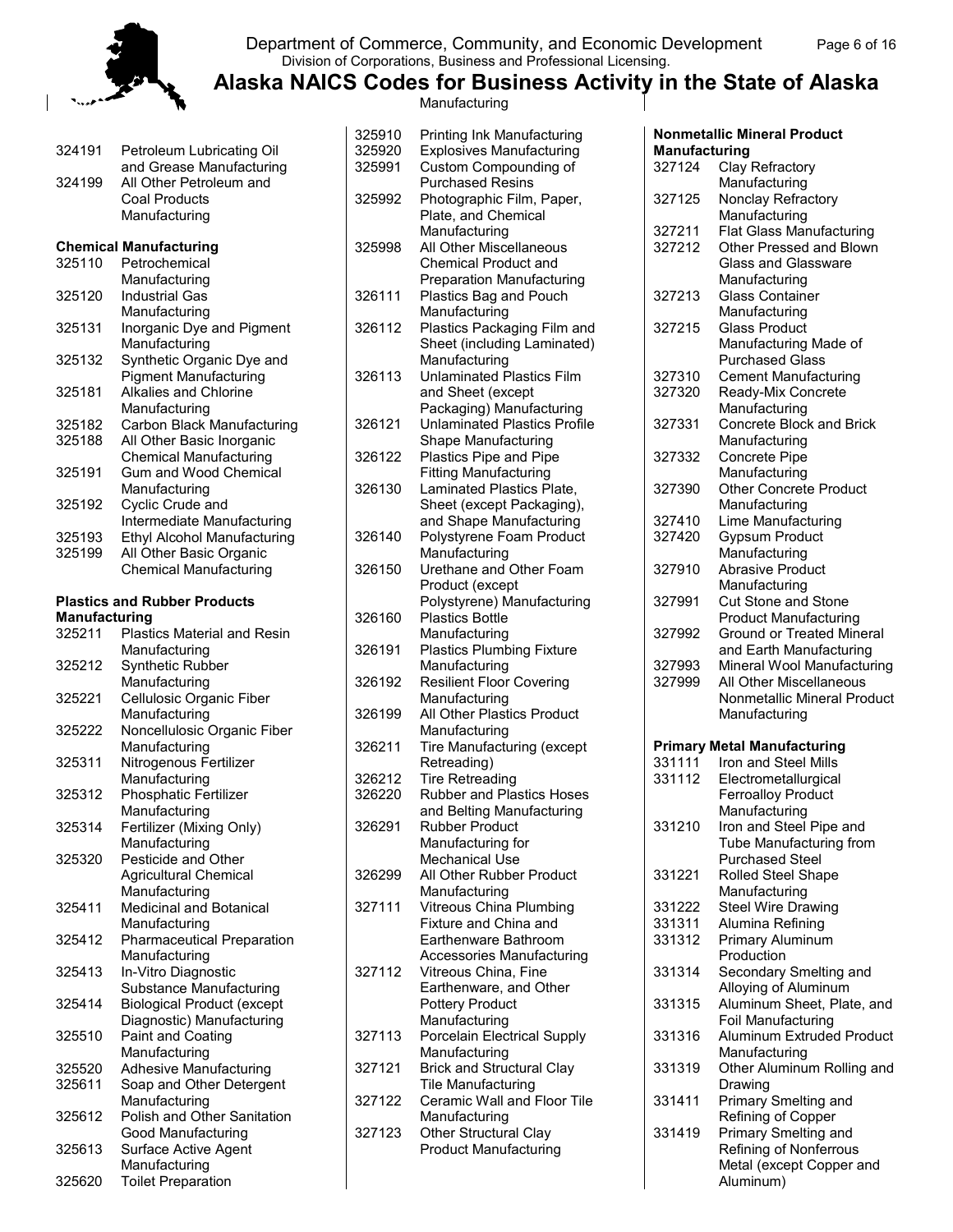

#### Department of Commerce, Community, and Economic Development Page 6 of 16 Division of Corporations, Business and Professional Licensing.

**Alaska NAICS Codes for Business Activity in the State of Alaska** Manufacturing

| 324191               | Petroleum Lubricating Oil                                    |
|----------------------|--------------------------------------------------------------|
| 324199               | and Grease Manufacturing<br>All Other Petroleum and          |
|                      | <b>Coal Products</b>                                         |
|                      | Manufacturing                                                |
|                      | <b>Chemical Manufacturing</b>                                |
| 325110               | Petrochemical                                                |
|                      | Manufacturing                                                |
| 325120               | <b>Industrial Gas</b>                                        |
|                      | Manufacturing                                                |
| 325131               | Inorganic Dye and Pigment                                    |
|                      | Manufacturing                                                |
| 325132               | Synthetic Organic Dye and                                    |
|                      | <b>Pigment Manufacturing</b><br><b>Alkalies and Chlorine</b> |
| 325181               | Manufacturing                                                |
| 325182               | Carbon Black Manufacturing                                   |
| 325188               | All Other Basic Inorganic                                    |
|                      | <b>Chemical Manufacturing</b>                                |
| 325191               | Gum and Wood Chemical                                        |
|                      | Manufacturing                                                |
| 325192               | Cyclic Crude and                                             |
|                      | Intermediate Manufacturing                                   |
| 325193               | <b>Ethyl Alcohol Manufacturing</b>                           |
| 325199               | All Other Basic Organic                                      |
|                      | <b>Chemical Manufacturing</b>                                |
|                      |                                                              |
|                      | <b>Plastics and Rubber Products</b>                          |
| <b>Manufacturing</b> |                                                              |
| 325211               | <b>Plastics Material and Resin</b>                           |
|                      | Manufacturing                                                |
| 325212               | Synthetic Rubber                                             |
| 325221               | Manufacturing<br>Cellulosic Organic Fiber                    |
|                      | Manufacturing                                                |
| 325222               | Noncellulosic Organic Fiber                                  |
|                      | Manufacturing                                                |
| 325311               | Nitrogenous Fertilizer                                       |
|                      | Manufacturing                                                |
| 325312               | Phosphatic Fertilizer                                        |
|                      | Manufacturing                                                |
| 325314               | Fertilizer (Mixing Only)                                     |
|                      | Manufacturing                                                |
| 325320               | Pesticide and Other                                          |
|                      | <b>Agricultural Chemical</b>                                 |
| 325411               | Manufacturing<br>Medicinal and Botanical                     |
|                      | Manufacturing                                                |
| 325412               | <b>Pharmaceutical Preparation</b>                            |
|                      | Manufacturing                                                |
| 325413               | In-Vitro Diagnostic                                          |
|                      | Substance Manufacturing                                      |
| 325414               | <b>Biological Product (except</b>                            |
|                      | Diagnostic) Manufacturing                                    |
| 325510               | Paint and Coating                                            |
|                      | Manufacturing                                                |
| 325520               | <b>Adhesive Manufacturing</b>                                |
| 325611               | Soap and Other Detergent                                     |
|                      | Manufacturing                                                |
| 325612               | Polish and Other Sanitation                                  |
|                      | Good Manufacturing                                           |
| 325613               | Surface Active Agent                                         |
|                      | Manufacturing                                                |
| 325620               | <b>Toilet Preparation</b>                                    |

| 325910<br>325920<br>325991 | Printing Ink Manufacturing<br><b>Explosives Manufacturing</b><br>Custom Compounding of                |
|----------------------------|-------------------------------------------------------------------------------------------------------|
| 325992                     | <b>Purchased Resins</b><br>Photographic Film, Paper,<br>Plate, and Chemical                           |
| 325998                     | Manufacturing<br>All Other Miscellaneous<br><b>Chemical Product and</b>                               |
| 326111                     | <b>Preparation Manufacturing</b><br>Plastics Bag and Pouch<br>Manufacturing                           |
| 326112                     | Plastics Packaging Film and<br>Sheet (including Laminated)                                            |
| 326113                     | Manufacturing<br><b>Unlaminated Plastics Film</b><br>and Sheet (except                                |
| 326121                     | Packaging) Manufacturing<br><b>Unlaminated Plastics Profile</b><br>Shape Manufacturing                |
| 326122                     | Plastics Pipe and Pipe                                                                                |
| 326130                     | <b>Fitting Manufacturing</b><br>Laminated Plastics Plate,<br>Sheet (except Packaging),                |
| 326140                     | and Shape Manufacturing<br>Polystyrene Foam Product<br>Manufacturing                                  |
| 326150                     | Urethane and Other Foam<br>Product (except                                                            |
| 326160                     | Polystyrene) Manufacturing<br><b>Plastics Bottle</b><br>Manufacturing                                 |
| 326191                     | <b>Plastics Plumbing Fixture</b>                                                                      |
| 326192                     | Manufacturing<br><b>Resilient Floor Covering</b>                                                      |
| 326199                     | Manufacturing<br>All Other Plastics Product                                                           |
| 326211                     | Manufacturing<br>Tire Manufacturing (except                                                           |
| 326212<br>326220           | Retreading)<br><b>Tire Retreading</b><br><b>Rubber and Plastics Hoses</b>                             |
| 326291                     | and Belting Manufacturing<br><b>Rubber Product</b><br>Manufacturing for                               |
| 326299                     | <b>Mechanical Use</b><br>All Other Rubber Product<br>Manufacturing                                    |
| 327111                     | Vitreous China Plumbing<br>Fixture and China and<br>Earthenware Bathroom                              |
| 327112                     | Accessories Manufacturing<br>Vitreous China, Fine<br>Earthenware, and Other<br><b>Pottery Product</b> |
| 327113                     | Manufacturing<br>Porcelain Electrical Supply<br>Manufacturing                                         |
| 327121                     | <b>Brick and Structural Clay</b><br>Tile Manufacturing                                                |
| 327122                     | Ceramic Wall and Floor Tile                                                                           |
| 327123                     | Manufacturing<br><b>Other Structural Clay</b><br><b>Product Manufacturing</b>                         |
|                            |                                                                                                       |

| Manufacturing |                                    |
|---------------|------------------------------------|
| 327124        | Clay Refractory                    |
|               | Manufacturing                      |
| 327125        | Nonclay Refractory                 |
|               | Manufacturing                      |
| 327211        | <b>Flat Glass Manufacturing</b>    |
| 327212        | Other Pressed and Blown            |
|               | Glass and Glassware                |
|               | Manufacturing                      |
| 327213        | <b>Glass Container</b>             |
|               | Manufacturing                      |
| 327215        | <b>Glass Product</b>               |
|               | Manufacturing Made of              |
|               | <b>Purchased Glass</b>             |
| 327310        | <b>Cement Manufacturing</b>        |
| 327320        | Ready-Mix Concrete                 |
|               | Manufacturing                      |
| 327331        | <b>Concrete Block and Brick</b>    |
| 327332        | Manufacturing<br>Concrete Pipe     |
|               | Manufacturing                      |
| 327390        | <b>Other Concrete Product</b>      |
|               | Manufacturing                      |
| 327410        | Lime Manufacturing                 |
| 327420        | <b>Gypsum Product</b>              |
|               | Manufacturing                      |
| 327910        | <b>Abrasive Product</b>            |
|               | Manufacturing                      |
| 327991        | <b>Cut Stone and Stone</b>         |
|               | <b>Product Manufacturing</b>       |
| 327992        | Ground or Treated Mineral          |
|               | and Earth Manufacturing            |
| 327993        | Mineral Wool Manufacturing         |
| 327999        | All Other Miscellaneous            |
|               | Nonmetallic Mineral Product        |
|               | Manufacturing                      |
|               | <b>Primary Metal Manufacturing</b> |
| 331111        | Iron and Steel Mills               |
| 331112        | Electrometallurgical               |
|               | Ferroalloy Product                 |
|               | Manufacturing                      |
| 331210        | Iron and Steel Pipe and            |
|               | Tube Manufacturing from            |
|               | <b>Purchased Steel</b>             |
| 331221        | Rolled Steel Shape                 |
|               | Manufacturing                      |

331222 Steel Wire Drawing<br>331311 Alumina Refining Alumina Refining

331312 Primary Aluminum Production 331314 Secondary Smelting and Alloying of Aluminum 331315 Aluminum Sheet, Plate, and Foil Manufacturing 331316 Aluminum Extruded Product Manufacturing 331319 Other Aluminum Rolling and

Drawing 331411 Primary Smelting and Refining of Copper 331419 Primary Smelting and

Aluminum)

Refining of Nonferrous Metal (except Copper and

**Nonmetallic Mineral Product**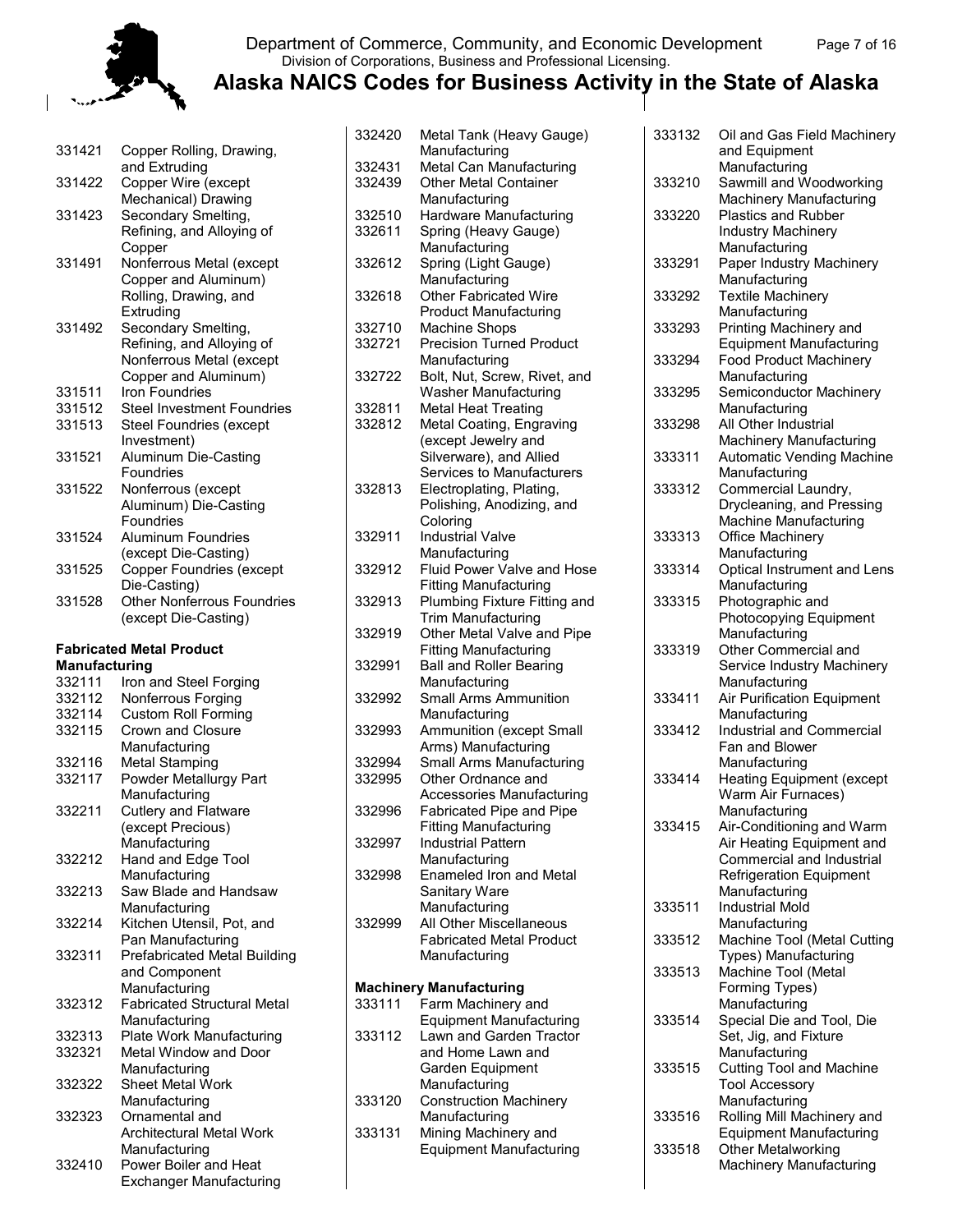

#### Department of Commerce, Community, and Economic Development Page 7 of 16 Division of Corporations, Business and Professional Licensing.

| 331421               | Copper Rolling, Drawing,                                |
|----------------------|---------------------------------------------------------|
| 331422               | and Extruding<br>Copper Wire (except                    |
|                      | Mechanical) Drawing                                     |
| 331423               | Secondary Smelting,                                     |
|                      | Refining, and Alloying of                               |
|                      | Copper                                                  |
| 331491               | Nonferrous Metal (except                                |
|                      | Copper and Aluminum)                                    |
|                      | Rolling, Drawing, and                                   |
|                      | Extruding                                               |
| 331492               | Secondary Smelting,                                     |
|                      | Refining, and Alloying of                               |
|                      | Nonferrous Metal (except                                |
|                      | Copper and Aluminum)                                    |
| 331511               | <b>Iron Foundries</b>                                   |
| 331512               | <b>Steel Investment Foundries</b>                       |
|                      |                                                         |
| 331513               | <b>Steel Foundries (except</b>                          |
|                      | Investment)                                             |
| 331521               | Aluminum Die-Casting                                    |
|                      | Foundries                                               |
| 331522               | Nonferrous (except                                      |
|                      | Aluminum) Die-Casting                                   |
|                      | Foundries                                               |
| 331524               | <b>Aluminum Foundries</b>                               |
|                      | (except Die-Casting)                                    |
| 331525               | Copper Foundries (except                                |
|                      | Die-Casting)                                            |
| 331528               | <b>Other Nonferrous Foundries</b>                       |
|                      | (except Die-Casting)                                    |
|                      |                                                         |
|                      | <b>Fabricated Metal Product</b>                         |
|                      |                                                         |
| <b>Manufacturing</b> |                                                         |
| 332111               | Iron and Steel Forging                                  |
| 332112               | Nonferrous Forging                                      |
| 332114               | <b>Custom Roll Forming</b>                              |
| 332115               | <b>Crown and Closure</b>                                |
|                      | Manufacturing                                           |
| 332116               |                                                         |
|                      | <b>Metal Stamping</b>                                   |
| 332117               | Powder Metallurgy Part                                  |
|                      | Manufacturing                                           |
| 332211               | Cutlery and Flatware                                    |
|                      | (except Precious)                                       |
|                      | Manufacturing                                           |
| 332212               | Hand and Edge Tool                                      |
|                      | Manufacturing                                           |
| 332213               | Saw Blade and Handsaw                                   |
|                      | Manufacturing                                           |
| 332214               | Kitchen Utensil, Pot, and                               |
|                      | Pan Manufacturing                                       |
| 332311               | Prefabricated Metal Building                            |
|                      | and Component                                           |
|                      | Manufacturing                                           |
| 332312               | <b>Fabricated Structural Metal</b>                      |
|                      | Manufacturing                                           |
| 332313               | Plate Work Manufacturing                                |
| 332321               | Metal Window and Door                                   |
|                      | Manufacturing                                           |
| 332322               | Sheet Metal Work                                        |
|                      | Manufacturing                                           |
| 332323               | Ornamental and                                          |
|                      | <b>Architectural Metal Work</b>                         |
|                      | Manufacturing                                           |
| 332410               | Power Boiler and Heat<br><b>Exchanger Manufacturing</b> |

| Metal Can Manufacturing                                   |
|-----------------------------------------------------------|
|                                                           |
|                                                           |
|                                                           |
|                                                           |
| Hardware Manufacturing                                    |
|                                                           |
|                                                           |
|                                                           |
|                                                           |
|                                                           |
|                                                           |
|                                                           |
| <b>Precision Turned Product</b>                           |
|                                                           |
| Bolt, Nut, Screw, Rivet, and                              |
|                                                           |
|                                                           |
| Metal Coating, Engraving                                  |
|                                                           |
|                                                           |
| Services to Manufacturers                                 |
|                                                           |
| Polishing, Anodizing, and                                 |
|                                                           |
|                                                           |
|                                                           |
| Fluid Power Valve and Hose                                |
|                                                           |
| Plumbing Fixture Fitting and                              |
|                                                           |
|                                                           |
|                                                           |
| Other Metal Valve and Pipe                                |
|                                                           |
|                                                           |
|                                                           |
| <b>Small Arms Ammunition</b>                              |
|                                                           |
| Ammunition (except Small                                  |
|                                                           |
| Small Arms Manufacturing                                  |
|                                                           |
| Accessories Manufacturing                                 |
| Fabricated Pipe and Pipe                                  |
|                                                           |
|                                                           |
|                                                           |
| Enameled Iron and Metal                                   |
|                                                           |
|                                                           |
| All Other Miscellaneous                                   |
| <b>Fabricated Metal Product</b>                           |
|                                                           |
|                                                           |
|                                                           |
|                                                           |
| <b>Equipment Manufacturing</b><br>Lawn and Garden Tractor |
|                                                           |
|                                                           |
|                                                           |
| <b>Construction Machinery</b>                             |
|                                                           |
|                                                           |
| <b>Equipment Manufacturing</b>                            |
|                                                           |

| 333132 | Oil and Gas Field Machinery<br>and Equipment                                                                                           |
|--------|----------------------------------------------------------------------------------------------------------------------------------------|
| 333210 | Manufacturing<br>Sawmill and Woodworking<br>Machinery Manufacturing                                                                    |
| 333220 | <b>Plastics and Rubber</b><br><b>Industry Machinery</b>                                                                                |
| 333291 | Manufacturing<br>Paper Industry Machinery<br>Manufacturing                                                                             |
| 333292 | <b>Textile Machinery</b><br>Manufacturing                                                                                              |
| 333293 | Printing Machinery and<br><b>Equipment Manufacturing</b>                                                                               |
| 333294 | <b>Food Product Machinery</b><br>Manufacturing                                                                                         |
| 333295 | Semiconductor Machinery<br>Manufacturing                                                                                               |
| 333298 | All Other Industrial<br>Machinery Manufacturing                                                                                        |
| 333311 | Automatic Vending Machine<br>Manufacturing                                                                                             |
| 333312 | Commercial Laundry,<br>Drycleaning, and Pressing<br>Machine Manufacturing                                                              |
| 333313 | Office Machinery<br>Manufacturing                                                                                                      |
| 333314 | Optical Instrument and Lens<br>Manufacturing                                                                                           |
| 333315 | Photographic and<br>Photocopying Equipment<br>Manufacturing                                                                            |
| 333319 | Other Commercial and<br>Service Industry Machinery                                                                                     |
| 333411 | Manufacturing<br><b>Air Purification Equipment</b>                                                                                     |
| 333412 | Manufacturing<br><b>Industrial and Commercial</b><br>Fan and Blower<br>Manufacturing                                                   |
| 333414 | <b>Heating Equipment (except</b><br>Warm Air Furnaces)<br>Manufacturing                                                                |
| 333415 | Air-Conditioning and Warm<br>Air Heating Equipment and<br>Commercial and Industrial<br><b>Refrigeration Equipment</b><br>Manufacturing |
| 333511 | <b>Industrial Mold</b><br>Manufacturing                                                                                                |
| 333512 | Machine Tool (Metal Cutting<br>Types) Manufacturing                                                                                    |
| 333513 | Machine Tool (Metal<br>Forming Types)<br>Manufacturing                                                                                 |
| 333514 | Special Die and Tool, Die<br>Set, Jig, and Fixture                                                                                     |
| 333515 | Manufacturing<br><b>Cutting Tool and Machine</b><br><b>Tool Accessory</b>                                                              |
| 333516 | Manufacturing<br>Rolling Mill Machinery and                                                                                            |
| 333518 | <b>Equipment Manufacturing</b><br>Other Metalworking<br>Machinery Manufacturing                                                        |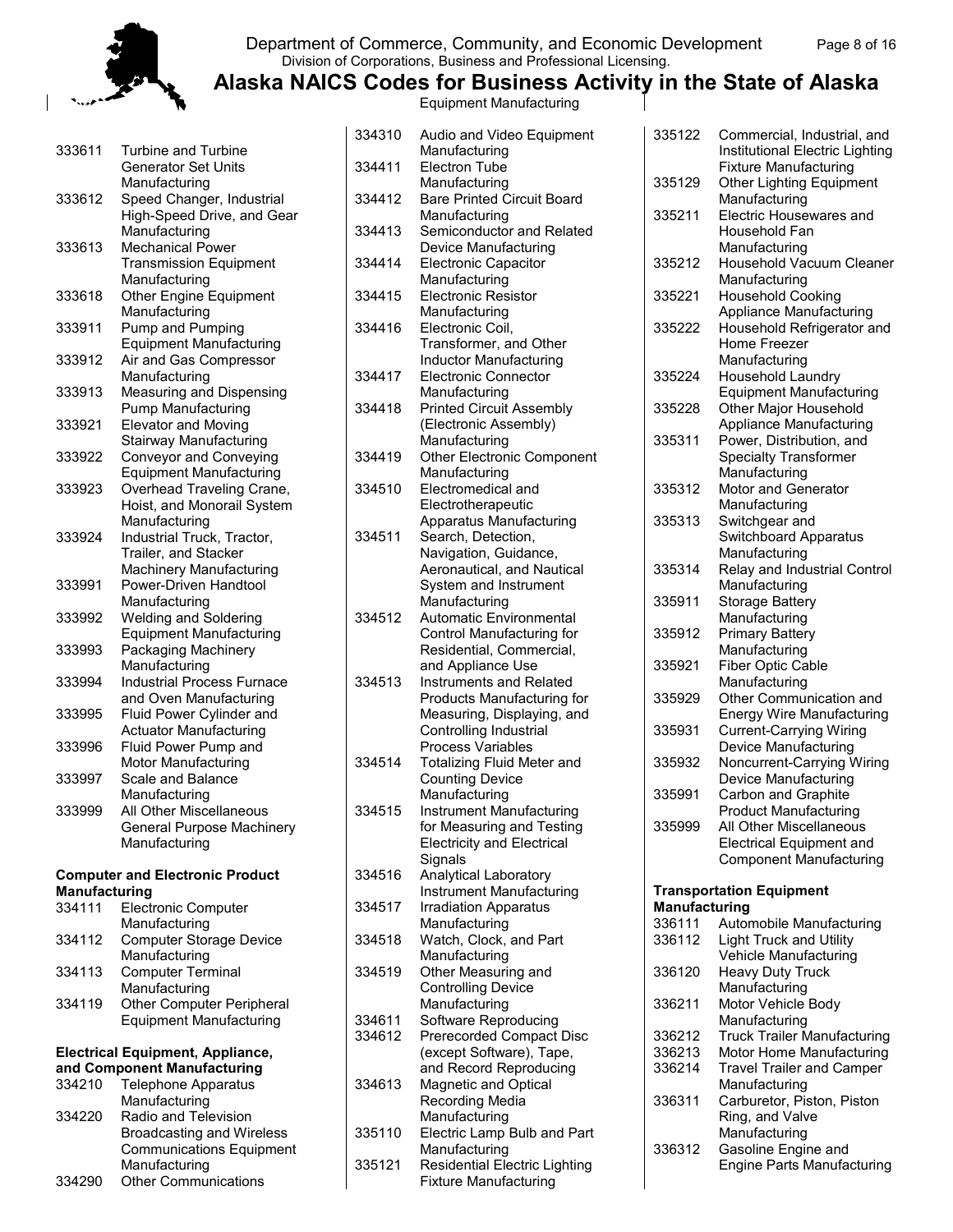#### Department of Commerce, Community, and Economic Development Page 8 of 16 Division of Corporations, Business and Professional Licensing.

**Alaska NAICS Codes for Business Activity in the State of Alaska**

Equipment Manufacturing

| 333611               | <b>Turbine and Turbine</b>                                |
|----------------------|-----------------------------------------------------------|
|                      | <b>Generator Set Units</b>                                |
|                      | Manufacturing                                             |
| 333612               | Speed Changer, Industrial                                 |
|                      | High-Speed Drive, and Gear                                |
|                      | Manufacturing                                             |
| 333613               | Mechanical Power                                          |
|                      | <b>Transmission Equipment</b>                             |
|                      | Manufacturing                                             |
| 333618               | Other Engine Equipment                                    |
|                      | Manufacturing                                             |
| 333911               | Pump and Pumping                                          |
|                      | <b>Equipment Manufacturing</b>                            |
| 333912               | Air and Gas Compressor                                    |
|                      | Manufacturing                                             |
| 333913               | Measuring and Dispensing                                  |
|                      | <b>Pump Manufacturing</b>                                 |
| 333921               | <b>Elevator and Moving</b>                                |
|                      | <b>Stairway Manufacturing</b>                             |
| 333922               | <b>Conveyor and Conveying</b>                             |
|                      | <b>Equipment Manufacturing</b>                            |
| 333923               | Overhead Traveling Crane,                                 |
|                      | Hoist, and Monorail System                                |
|                      | Manufacturing                                             |
| 333924               | Industrial Truck, Tractor,                                |
|                      | Trailer, and Stacker                                      |
|                      | Machinery Manufacturing                                   |
| 333991               | Power-Driven Handtool                                     |
|                      | Manufacturing                                             |
| 333992               | <b>Welding and Soldering</b>                              |
|                      | <b>Equipment Manufacturing</b>                            |
| 333993               | Packaging Machinery                                       |
|                      | Manufacturing                                             |
| 333994               | <b>Industrial Process Furnace</b>                         |
|                      | and Oven Manufacturing                                    |
| 333995               |                                                           |
|                      | Fluid Power Cylinder and<br><b>Actuator Manufacturing</b> |
|                      |                                                           |
| 333996               | Fluid Power Pump and<br>Motor Manufacturing               |
|                      |                                                           |
| 333997               | Scale and Balance                                         |
|                      | Manufacturing                                             |
| 333999               | All Other Miscellaneous                                   |
|                      | <b>General Purpose Machinery</b>                          |
|                      | Manufacturing                                             |
|                      | <b>Computer and Electronic Product</b>                    |
| <b>Manufacturing</b> |                                                           |
| 334111               | <b>Electronic Computer</b>                                |
|                      | Manufacturing                                             |
|                      |                                                           |

|        | Manufacturing                    |
|--------|----------------------------------|
| 334112 | <b>Computer Storage Device</b>   |
|        | Manufacturing                    |
| 334113 | <b>Computer Terminal</b>         |
|        | Manufacturing                    |
| 334119 | <b>Other Computer Peripheral</b> |
|        | <b>Equipment Manufacturing</b>   |

#### **Electrical Equipment, Appliance, and Component Manufacturing**

| 334210 | <b>Telephone Apparatus</b>       |
|--------|----------------------------------|
|        | Manufacturing                    |
| 334220 | Radio and Television             |
|        | <b>Broadcasting and Wireless</b> |
|        | <b>Communications Equipment</b>  |
|        | Manufacturing                    |
| 334290 | <b>Other Communications</b>      |

| 334310 | Audio and Video Equipment                                   |
|--------|-------------------------------------------------------------|
|        | Manufacturing                                               |
| 334411 | <b>Electron Tube</b>                                        |
|        | Manufacturing                                               |
| 334412 | <b>Bare Printed Circuit Board</b>                           |
|        | Manufacturing                                               |
| 334413 | Semiconductor and Related                                   |
|        | Device Manufacturing                                        |
| 334414 | <b>Electronic Capacitor</b>                                 |
|        | Manufacturing                                               |
| 334415 | <b>Electronic Resistor</b>                                  |
|        | Manufacturing                                               |
| 334416 | Electronic Coil,                                            |
|        | Transformer, and Other                                      |
|        | <b>Inductor Manufacturing</b>                               |
| 334417 | <b>Electronic Connector</b>                                 |
|        | Manufacturing                                               |
| 334418 | <b>Printed Circuit Assembly</b>                             |
|        | (Electronic Assembly)                                       |
|        | Manufacturing                                               |
| 334419 | <b>Other Electronic Component</b>                           |
|        | Manufacturing                                               |
| 334510 | Electromedical and                                          |
|        | Electrotherapeutic                                          |
|        | Apparatus Manufacturing                                     |
| 334511 | Search, Detection,                                          |
|        | Navigation, Guidance,                                       |
|        | Aeronautical, and Nautical                                  |
|        | System and Instrument                                       |
|        | Manufacturing                                               |
| 334512 | <b>Automatic Environmental</b>                              |
|        | Control Manufacturing for                                   |
|        | Residential, Commercial,                                    |
|        | and Appliance Use                                           |
| 334513 | <b>Instruments and Related</b>                              |
|        | Products Manufacturing for                                  |
|        | Measuring, Displaying, and                                  |
|        | Controlling Industrial                                      |
|        | Process Variables                                           |
| 334514 | <b>Totalizing Fluid Meter and</b>                           |
|        | <b>Counting Device</b>                                      |
|        | Manufacturing                                               |
| 334515 | <b>Instrument Manufacturing</b>                             |
|        | for Measuring and Testing                                   |
|        | <b>Electricity and Electrical</b>                           |
|        | Signals                                                     |
| 334516 | Analytical Laboratory<br><b>Instrument Manufacturing</b>    |
| 334517 |                                                             |
|        | <b>Irradiation Apparatus</b>                                |
| 334518 | Manufacturing<br>Watch, Clock, and Part                     |
|        | Manufacturing                                               |
| 334519 |                                                             |
|        | Other Measuring and<br><b>Controlling Device</b>            |
|        | Manufacturing                                               |
| 334611 | Software Reproducing                                        |
| 334612 |                                                             |
|        | <b>Prerecorded Compact Disc</b><br>(except Software), Tape, |
|        | and Record Reproducing                                      |
| 334613 | Magnetic and Optical                                        |
|        | Recording Media                                             |
|        | Manufacturing                                               |
| 335110 | Electric Lamp Bulb and Part                                 |
|        | Manufacturing                                               |
| 335121 | <b>Residential Electric Lighting</b>                        |
|        | <b>Fixture Manufacturing</b>                                |
|        |                                                             |

| 335122                  | Commercial, Industrial, and<br>Institutional Electric Lighting<br><b>Fixture Manufacturing</b> |
|-------------------------|------------------------------------------------------------------------------------------------|
| 335129                  | <b>Other Lighting Equipment</b><br>Manufacturing                                               |
| 335211                  | <b>Electric Housewares and</b><br>Household Fan                                                |
| 335212                  | Manufacturing<br>Household Vacuum Cleaner<br>Manufacturing                                     |
| 335221                  | <b>Household Cooking</b><br><b>Appliance Manufacturing</b>                                     |
| 335222                  | Household Refrigerator and<br>Home Freezer                                                     |
| 335224                  | Manufacturing<br>Household Laundry                                                             |
| 335228                  | <b>Equipment Manufacturing</b><br>Other Major Household                                        |
| 335311                  | <b>Appliance Manufacturing</b><br>Power, Distribution, and<br>Specialty Transformer            |
| 335312                  | Manufacturing<br><b>Motor and Generator</b>                                                    |
|                         | Manufacturing                                                                                  |
| 335313                  | Switchgear and<br><b>Switchboard Apparatus</b><br>Manufacturing                                |
| 335314                  | Relay and Industrial Control<br>Manufacturing                                                  |
| 335911                  | Storage Battery<br>Manufacturing                                                               |
| 335912                  | <b>Primary Battery</b><br>Manufacturing                                                        |
| 335921                  | <b>Fiber Optic Cable</b>                                                                       |
| 335929                  | Manufacturing<br>Other Communication and<br><b>Energy Wire Manufacturing</b>                   |
| 335931                  | <b>Current-Carrying Wiring</b><br>Device Manufacturing                                         |
| 335932                  | Noncurrent-Carrying Wiring<br>Device Manufacturing                                             |
| 335991                  | Carbon and Graphite<br><b>Product Manufacturing</b>                                            |
| 335999                  | All Other Miscellaneous                                                                        |
|                         | <b>Electrical Equipment and</b><br><b>Component Manufacturing</b>                              |
|                         | <b>Transportation Equipment</b>                                                                |
| Manufacturing<br>336111 | Automobile Manufacturing                                                                       |
| 336112                  | <b>Light Truck and Utility</b>                                                                 |
|                         | Vehicle Manufacturing                                                                          |
| 336120                  | <b>Heavy Duty Truck</b><br>Manufacturing                                                       |
| 336211                  | Motor Vehicle Body<br>Manufacturing                                                            |
| 336212                  | <b>Truck Trailer Manufacturing</b>                                                             |
| 336213                  | Motor Home Manufacturing                                                                       |
| 336214                  | <b>Travel Trailer and Camper</b>                                                               |

Manufacturing 336311 Carburetor, Piston, Piston Ring, and Valve Manufacturing 336312 Gasoline Engine and Engine Parts Manufacturing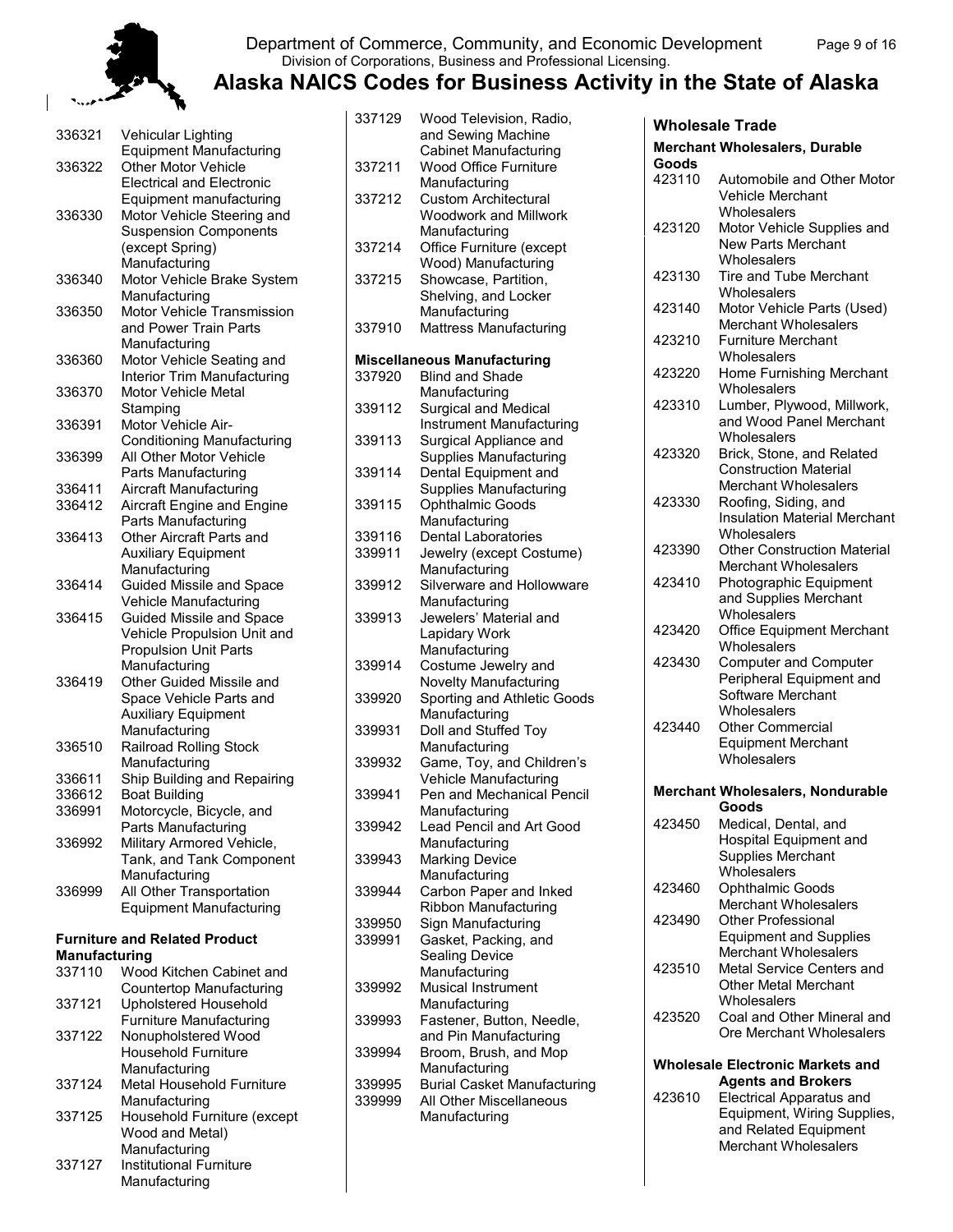

 $\overline{\phantom{a}}$ 

#### Department of Commerce, Community, and Economic Development Page 9 of 16 Division of Corporations, Business and Professional Licensing.

337129 Wood Television, Radio,

## **Alaska NAICS Codes for Business Activity in the State of Alaska**

| 336321                  | Vehicular Lighting                                          |
|-------------------------|-------------------------------------------------------------|
| 336322                  | <b>Equipment Manufacturing</b><br>Other Motor Vehicle       |
|                         | <b>Electrical and Electronic</b>                            |
| 336330                  | Equipment manufacturing<br>Motor Vehicle Steering and       |
|                         | <b>Suspension Components</b>                                |
|                         | (except Spring)                                             |
|                         | Manufacturing                                               |
| 336340                  | Motor Vehicle Brake System                                  |
| 336350                  | Manufacturing<br>Motor Vehicle Transmission                 |
|                         | and Power Train Parts                                       |
|                         | Manufacturing                                               |
| 336360                  | Motor Vehicle Seating and                                   |
|                         | Interior Trim Manufacturing                                 |
| 336370                  | Motor Vehicle Metal                                         |
| 336391                  | Stamping<br>Motor Vehicle Air-                              |
|                         | <b>Conditioning Manufacturing</b>                           |
| 336399                  | All Other Motor Vehicle                                     |
|                         | Parts Manufacturing                                         |
| 336411                  | <b>Aircraft Manufacturing</b>                               |
| 336412                  | Aircraft Engine and Engine                                  |
| 336413                  | Parts Manufacturing<br>Other Aircraft Parts and             |
|                         | <b>Auxiliary Equipment</b>                                  |
|                         | Manufacturing                                               |
| 336414                  | Guided Missile and Space                                    |
|                         | Vehicle Manufacturing                                       |
| 336415                  | Guided Missile and Space                                    |
|                         | Vehicle Propulsion Unit and<br><b>Propulsion Unit Parts</b> |
|                         | Manufacturing                                               |
| 336419                  | Other Guided Missile and                                    |
|                         | Space Vehicle Parts and                                     |
|                         | <b>Auxiliary Equipment</b>                                  |
|                         | Manufacturing                                               |
| 336510                  | <b>Railroad Rolling Stock</b>                               |
| 336611                  | Manufacturing<br>Ship Building and Repairing                |
| 336612                  | <b>Boat Building</b>                                        |
| 336991                  | Motorcycle, Bicycle, and                                    |
|                         | Parts Manufacturing                                         |
| 336992                  | Military Armored Vehicle,                                   |
|                         | Tank, and Tank Component<br>Manufacturing                   |
| 336999                  | All Other Transportation                                    |
|                         | <b>Equipment Manufacturing</b>                              |
|                         |                                                             |
|                         | <b>Furniture and Related Product</b>                        |
| Manufacturing<br>337110 | Wood Kitchen Cabinet and                                    |
|                         | Countertop Manufacturing                                    |
| 337121                  | <b>Upholstered Household</b>                                |
|                         | <b>Furniture Manufacturing</b>                              |
| 337122                  | Nonupholstered Wood                                         |
|                         | <b>Household Furniture</b>                                  |
| 337124                  | Manufacturing<br>Metal Household Furniture                  |
|                         | Manufacturing                                               |
| 337125                  | Household Furniture (except                                 |
|                         | Wood and Metal)                                             |
|                         | Manufacturing                                               |

337127 Institutional Furniture Manufacturing

|        | and Sewing Machine                 |
|--------|------------------------------------|
|        | <b>Cabinet Manufacturing</b>       |
| 337211 | Wood Office Furniture              |
|        | Manufacturing                      |
| 337212 | <b>Custom Architectural</b>        |
|        | <b>Woodwork and Millwork</b>       |
|        | Manufacturing                      |
| 337214 | Office Furniture (except           |
|        | Wood) Manufacturing                |
| 337215 | Showcase, Partition,               |
|        | Shelving, and Locker               |
|        | Manufacturing                      |
| 337910 | Mattress Manufacturing             |
|        |                                    |
|        | <b>Miscellaneous Manufacturing</b> |
| 337920 | <b>Blind and Shade</b>             |
|        | Manufacturing                      |
| 339112 | Surgical and Medical               |
|        | <b>Instrument Manufacturing</b>    |
| 339113 | Surgical Appliance and             |
|        | <b>Supplies Manufacturing</b>      |
| 339114 | Dental Equipment and               |
|        | <b>Supplies Manufacturing</b>      |
| 339115 | Ophthalmic Goods                   |
|        | Manufacturing                      |
| 339116 | <b>Dental Laboratories</b>         |
| 339911 | Jewelry (except Costume)           |
|        | Manufacturing                      |
| 339912 | Silverware and Hollowware          |
|        | Manufacturing                      |
| 339913 | Jewelers' Material and             |
|        | Lapidary Work                      |
|        | Manufacturing                      |
| 339914 | Costume Jewelry and                |
|        | <b>Novelty Manufacturing</b>       |
| 339920 | Sporting and Athletic Goods        |
|        | Manufacturing                      |
| 339931 | Doll and Stuffed Toy               |
|        | Manufacturing                      |
| 339932 | Game, Toy, and Children's          |
|        | Vehicle Manufacturing              |
| 339941 | Pen and Mechanical Pencil          |
|        | Manufacturing                      |
| 339942 | <b>Lead Pencil and Art Good</b>    |
|        | Manufacturing                      |
| 339943 | Marking Device                     |
|        | Manufacturing                      |
| 339944 | Carbon Paper and Inked             |
|        | Ribbon Manufacturing               |
| 339950 | Sign Manufacturing                 |
| 339991 | Gasket, Packing, and               |
|        | Sealing Device                     |
|        | Manufacturing                      |
| 339992 | Musical Instrument                 |
|        | Manufacturing                      |
| 339993 | Fastener, Button, Needle,          |
|        | and Pin Manufacturing              |
| 339994 | Broom, Brush, and Mop              |
|        | Manufacturing                      |
| 339995 | <b>Burial Casket Manufacturing</b> |
| 339999 | All Other Miscellaneous            |
|        | Manufacturing                      |
|        |                                    |

|        | Wholesale Trade                                                                             |
|--------|---------------------------------------------------------------------------------------------|
| Goods  | <b>Merchant Wholesalers, Durable</b>                                                        |
| 423110 | Automobile and Other Motor<br>Vehicle Merchant<br>Wholesalers                               |
| 423120 | Motor Vehicle Supplies and<br><b>New Parts Merchant</b>                                     |
| 423130 | Wholesalers<br><b>Tire and Tube Merchant</b><br>Wholesalers                                 |
| 423140 | Motor Vehicle Parts (Used)<br><b>Merchant Wholesalers</b>                                   |
| 423210 | <b>Furniture Merchant</b><br>Wholesalers                                                    |
| 423220 | Home Furnishing Merchant<br>Wholesalers                                                     |
| 423310 | Lumber, Plywood, Millwork,<br>and Wood Panel Merchant<br>Wholesalers                        |
| 423320 | Brick, Stone, and Related<br><b>Construction Material</b>                                   |
| 423330 | <b>Merchant Wholesalers</b><br>Roofing, Siding, and<br><b>Insulation Material Merchant</b>  |
| 423390 | Wholesalers<br><b>Other Construction Material</b><br>Merchant Wholesalers                   |
| 423410 | Photographic Equipment<br>and Supplies Merchant<br>Wholesalers                              |
| 423420 | <b>Office Equipment Merchant</b><br>Wholesalers                                             |
| 423430 | <b>Computer and Computer</b><br>Peripheral Equipment and<br>Software Merchant               |
| 423440 | Wholesalers<br><b>Other Commercial</b><br><b>Equipment Merchant</b><br>Wholesalers          |
|        | <b>Merchant Wholesalers, Nondurable</b><br>Goods                                            |
| 423450 | Medical, Dental, and<br>Hospital Equipment and<br><b>Supplies Merchant</b>                  |
| 423460 | Wholesalers<br>Ophthalmic Goods                                                             |
| 423490 | <b>Merchant Wholesalers</b><br>Other Professional<br><b>Equipment and Supplies</b>          |
| 423510 | <b>Merchant Wholesalers</b><br>Metal Service Centers and<br><b>Other Metal Merchant</b>     |
| 423520 | Wholesalers<br>Coal and Other Mineral and<br>Ore Merchant Wholesalers                       |
|        | <b>Wholesale Electronic Markets and</b>                                                     |
| 423610 | <b>Agents and Brokers</b><br><b>Electrical Apparatus and</b><br>Equipment, Wiring Supplies, |
|        | and Related Equipment<br><b>Merchant Wholesalers</b>                                        |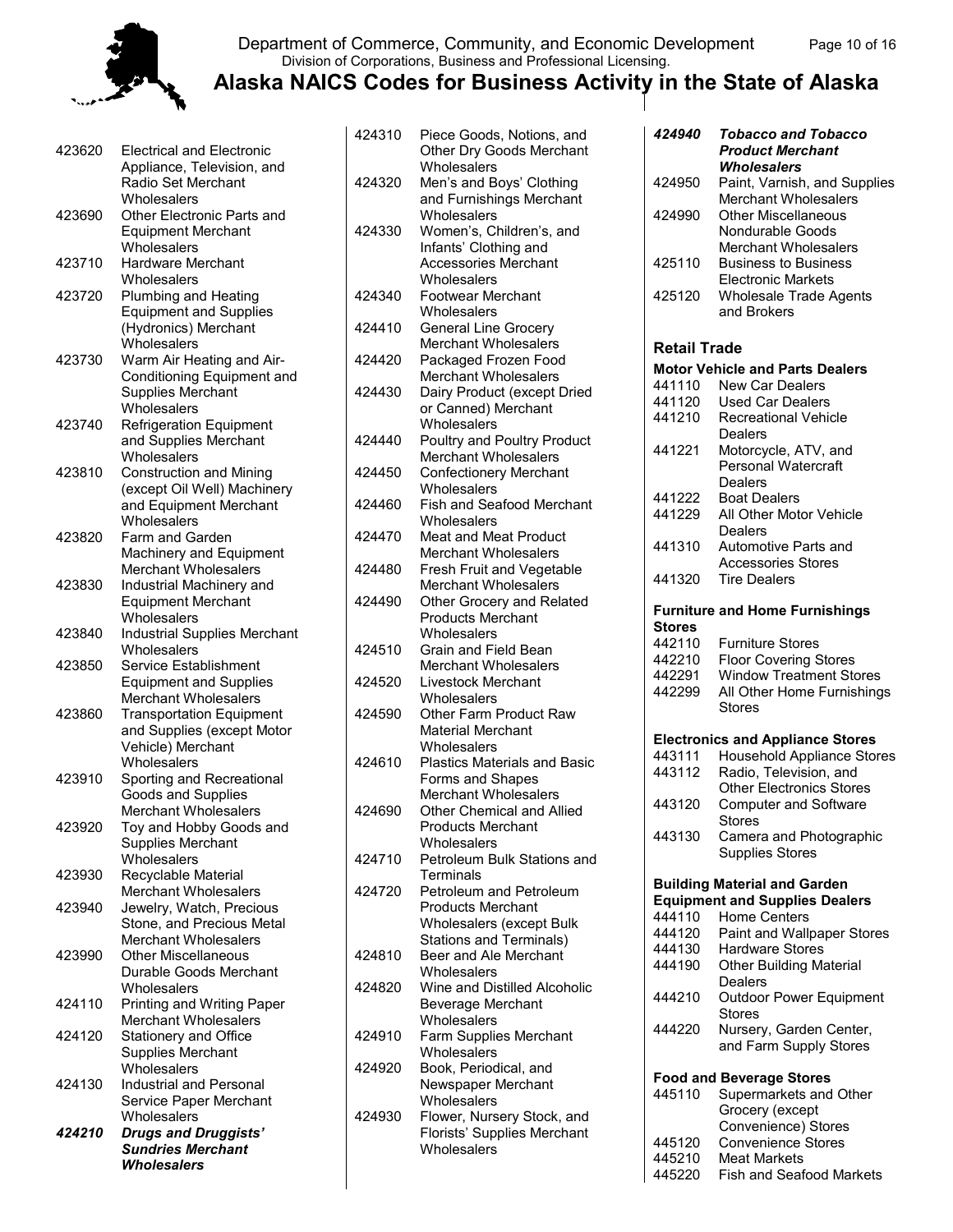#### Department of Commerce, Community, and Economic Development Page 10 of 16 Division of Corporations, Business and Professional Licensing.

| 423620 | <b>Electrical and Electronic</b><br>Appliance, Television, and<br>Radio Set Merchant |
|--------|--------------------------------------------------------------------------------------|
|        | Wholesalers                                                                          |
| 423690 | Other Electronic Parts and<br><b>Equipment Merchant</b>                              |
|        | Wholesalers                                                                          |
| 423710 | <b>Hardware Merchant</b>                                                             |
|        | Wholesalers                                                                          |
| 423720 | Plumbing and Heating                                                                 |
|        | <b>Equipment and Supplies</b>                                                        |
|        | (Hydronics) Merchant                                                                 |
|        | Wholesalers                                                                          |
| 423730 | Warm Air Heating and Air-                                                            |
|        | Conditioning Equipment and                                                           |
|        | <b>Supplies Merchant</b>                                                             |
|        | Wholesalers                                                                          |
| 423740 | <b>Refrigeration Equipment</b>                                                       |
|        | and Supplies Merchant                                                                |
|        | Wholesalers                                                                          |
| 423810 | <b>Construction and Mining</b>                                                       |
|        | (except Oil Well) Machinery                                                          |
|        | and Equipment Merchant                                                               |
|        | Wholesalers                                                                          |
| 423820 | Farm and Garden                                                                      |
|        | Machinery and Equipment                                                              |
|        | <b>Merchant Wholesalers</b>                                                          |
| 423830 | Industrial Machinery and                                                             |
|        | <b>Equipment Merchant</b>                                                            |
|        | Wholesalers                                                                          |
| 423840 | <b>Industrial Supplies Merchant</b>                                                  |
|        | Wholesalers                                                                          |
| 423850 | Service Establishment                                                                |
|        | <b>Equipment and Supplies</b>                                                        |
|        | <b>Merchant Wholesalers</b>                                                          |
| 423860 | <b>Transportation Equipment</b>                                                      |
|        | and Supplies (except Motor                                                           |
|        | Vehicle) Merchant                                                                    |
|        | Wholesalers                                                                          |
| 423910 | Sporting and Recreational                                                            |
|        | Goods and Supplies<br><b>Merchant Wholesalers</b>                                    |
|        | Toy and Hobby Goods and                                                              |
| 423920 |                                                                                      |
|        | <b>Supplies Merchant</b><br>Wholesalers                                              |
| 423930 | Recyclable Material                                                                  |
|        | <b>Merchant Wholesalers</b>                                                          |
| 423940 | Jewelry, Watch, Precious                                                             |
|        | Stone, and Precious Metal                                                            |
|        | <b>Merchant Wholesalers</b>                                                          |
| 423990 | <b>Other Miscellaneous</b>                                                           |
|        | Durable Goods Merchant                                                               |
|        | Wholesalers                                                                          |
| 424110 | Printing and Writing Paper                                                           |
|        | <b>Merchant Wholesalers</b>                                                          |
| 424120 | Stationery and Office                                                                |
|        | <b>Supplies Merchant</b>                                                             |
|        | Wholesalers                                                                          |
| 424130 | <b>Industrial and Personal</b>                                                       |
|        | Service Paper Merchant                                                               |
|        | Wholesalers                                                                          |
| 424210 | <b>Drugs and Druggists'</b>                                                          |
|        | <b>Sundries Merchant</b>                                                             |
|        | Wholesalers                                                                          |

| 424310 | Piece Goods, Notions, and<br>Other Dry Goods Merchant |
|--------|-------------------------------------------------------|
|        | Wholesalers                                           |
| 424320 | Men's and Boys' Clothing                              |
|        | and Furnishings Merchant                              |
|        | Wholesalers                                           |
| 424330 | Women's, Children's, and                              |
|        | Infants' Clothing and                                 |
|        | <b>Accessories Merchant</b>                           |
|        |                                                       |
|        | Wholesalers                                           |
| 424340 | Footwear Merchant                                     |
|        | Wholesalers                                           |
| 424410 | <b>General Line Grocery</b>                           |
|        | Merchant Wholesalers                                  |
| 424420 | Packaged Frozen Food                                  |
|        | <b>Merchant Wholesalers</b>                           |
| 424430 | Dairy Product (except Dried                           |
|        | or Canned) Merchant                                   |
|        | Wholesalers                                           |
| 424440 | Poultry and Poultry Product                           |
|        | Merchant Wholesalers                                  |
| 424450 | <b>Confectionery Merchant</b>                         |
|        |                                                       |
|        | Wholesalers                                           |
| 424460 | <b>Fish and Seafood Merchant</b>                      |
|        | Wholesalers                                           |
| 424470 | <b>Meat and Meat Product</b>                          |
|        | <b>Merchant Wholesalers</b>                           |
| 424480 | <b>Fresh Fruit and Vegetable</b>                      |
|        | <b>Merchant Wholesalers</b>                           |
| 424490 | Other Grocery and Related                             |
|        | <b>Products Merchant</b>                              |
|        | Wholesalers                                           |
| 424510 | Grain and Field Bean                                  |
|        | <b>Merchant Wholesalers</b>                           |
| 424520 | <b>Livestock Merchant</b>                             |
|        | Wholesalers                                           |
| 424590 | Other Farm Product Raw                                |
|        | Material Merchant                                     |
|        |                                                       |
|        |                                                       |
|        | Wholesalers                                           |
| 424610 | <b>Plastics Materials and Basic</b>                   |
|        | Forms and Shapes                                      |
|        | <b>Merchant Wholesalers</b>                           |
| 424690 | Other Chemical and Allied                             |
|        | <b>Products Merchant</b>                              |
|        | Wholesalers                                           |
| 424710 | Petroleum Bulk Stations and                           |
|        | Terminals                                             |
| 424720 | Petroleum and Petroleum                               |
|        | <b>Products Merchant</b>                              |
|        |                                                       |
|        | Wholesalers (except Bulk                              |
|        | <b>Stations and Terminals)</b>                        |
| 424810 | Beer and Ale Merchant                                 |
|        | Wholesalers                                           |
| 424820 | Wine and Distilled Alcoholic                          |
|        | Beverage Merchant                                     |
|        | Wholesalers                                           |
| 424910 | Farm Supplies Merchant                                |
|        | Wholesalers                                           |
| 424920 | Book, Periodical, and                                 |
|        | Newspaper Merchant                                    |
|        | Wholesalers                                           |
| 424930 | Flower, Nursery Stock, and                            |
|        | Florists' Supplies Merchant                           |
|        | Wholesalers                                           |

| 424940              |                                                          |
|---------------------|----------------------------------------------------------|
|                     | <b>Tobacco and Tobacco</b><br><b>Product Merchant</b>    |
|                     | <b>Wholesalers</b>                                       |
| 424950              | Paint, Varnish, and Supplies                             |
|                     | <b>Merchant Wholesalers</b>                              |
| 424990              | <b>Other Miscellaneous</b>                               |
|                     | <b>Nondurable Goods</b>                                  |
|                     | <b>Merchant Wholesalers</b>                              |
| 425110              | <b>Business to Business</b><br><b>Electronic Markets</b> |
| 425120              | <b>Wholesale Trade Agents</b>                            |
|                     | and Brokers                                              |
|                     |                                                          |
| <b>Retail Trade</b> |                                                          |
|                     | <b>Motor Vehicle and Parts Dealers</b>                   |
| 441110              | <b>New Car Dealers</b>                                   |
| 441120              | <b>Used Car Dealers</b>                                  |
| 441210              | <b>Recreational Vehicle</b>                              |
|                     | Dealers                                                  |
| 441221              | Motorcycle, ATV, and                                     |
|                     | Personal Watercraft                                      |
|                     |                                                          |
|                     | Dealers                                                  |
| 441222              | <b>Boat Dealers</b>                                      |
| 441229              | All Other Motor Vehicle                                  |
|                     | Dealers                                                  |
| 441310              | Automotive Parts and                                     |
|                     | <b>Accessories Stores</b>                                |
| 441320              | <b>Tire Dealers</b>                                      |
|                     |                                                          |
| <b>Stores</b>       | <b>Furniture and Home Furnishings</b>                    |
| 442110              |                                                          |
|                     | <b>Furniture Stores</b>                                  |
| 442210              | <b>Floor Covering Stores</b>                             |
| 442291              | <b>Window Treatment Stores</b>                           |
|                     |                                                          |
| 442299              | All Other Home Furnishings                               |
|                     | <b>Stores</b>                                            |
|                     |                                                          |
|                     | <b>Electronics and Appliance Stores</b>                  |
| 443111              | <b>Household Appliance Stores</b>                        |
| 443112              | Radio, Television, and                                   |
|                     | <b>Other Electronics Stores</b>                          |
| 443120              | Computer and Software                                    |
|                     | Stores                                                   |
| 443130              | Camera and Photographic                                  |
|                     | <b>Supplies Stores</b>                                   |
|                     |                                                          |
|                     | <b>Building Material and Garden</b>                      |
|                     | <b>Equipment and Supplies Dealers</b>                    |
| 444110              | <b>Home Centers</b>                                      |
| 444120              | Paint and Wallpaper Stores                               |
| 444130              | <b>Hardware Stores</b>                                   |
| 444190              | <b>Other Building Material</b>                           |
|                     | Dealers                                                  |
| 444210              | <b>Outdoor Power Equipment</b>                           |
|                     | Stores                                                   |
| 444220              | Nursery, Garden Center,                                  |
|                     | and Farm Supply Stores                                   |
|                     |                                                          |
|                     | <b>Food and Beverage Stores</b>                          |
| 445110              | Supermarkets and Other                                   |
|                     | Grocery (except                                          |
|                     | Convenience) Stores                                      |
| 445120              | <b>Convenience Stores</b>                                |
| 445210<br>445220    | <b>Meat Markets</b><br><b>Fish and Seafood Markets</b>   |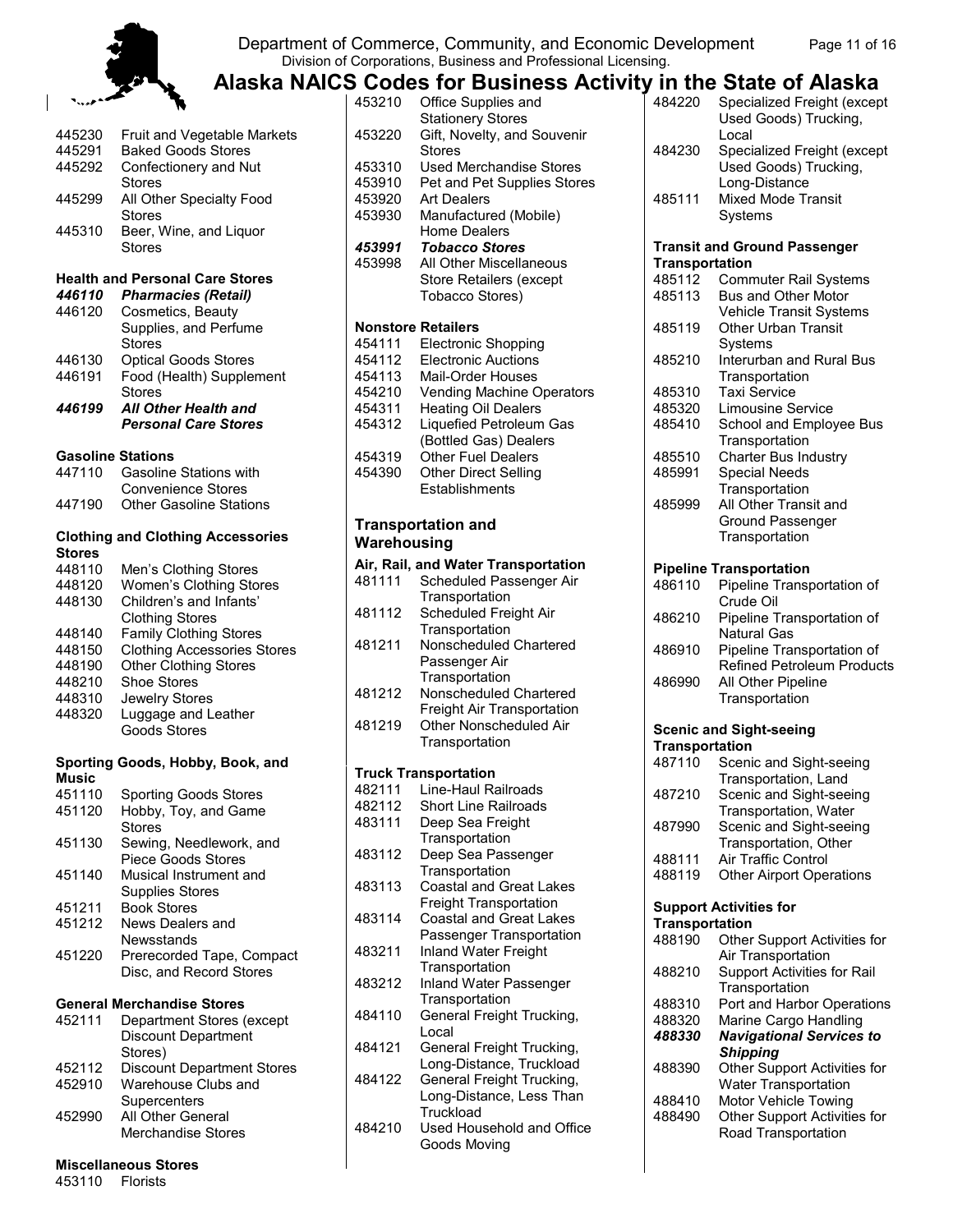

 $\overline{\phantom{a}}$ 

#### Department of Commerce, Community, and Economic Development Page 11 of 16 Division of Corporations, Business and Professional Licensing.

**Alaska NAICS Codes for Business Activity in the State of Alaska**

|                          | 'n                                                   |
|--------------------------|------------------------------------------------------|
| 445230                   | Fruit and Vegetable Markets                          |
| 445291                   | <b>Baked Goods Stores</b>                            |
| 445292                   | Confectionery and Nut                                |
|                          | Stores                                               |
| 445299                   | All Other Specialty Food<br>Stores                   |
| 445310                   | Beer, Wine, and Liquor                               |
|                          | Stores                                               |
|                          | <b>Health and Personal Care Stores</b>               |
| 446110                   | <b>Pharmacies (Retail)</b>                           |
| 446120                   | Cosmetics, Beauty                                    |
|                          | Supplies, and Perfume<br>Stores                      |
| 446130                   | <b>Optical Goods Stores</b>                          |
|                          | Food (Health) Supplement                             |
| 446191                   | <b>Stores</b>                                        |
| 446199                   | <b>All Other Health and</b>                          |
|                          | <b>Personal Care Stores</b>                          |
| <b>Gasoline Stations</b> |                                                      |
| 447110                   | <b>Gasoline Stations with</b>                        |
|                          | <b>Convenience Stores</b>                            |
| 447190                   | <b>Other Gasoline Stations</b>                       |
|                          | <b>Clothing and Clothing Accessories</b>             |
| <b>Stores</b>            |                                                      |
| 448110                   | Men's Clothing Stores                                |
| 448120                   | Women's Clothing Stores                              |
| 448130                   | Children's and Infants'                              |
|                          | <b>Clothing Stores</b>                               |
| 448140                   | <b>Family Clothing Stores</b>                        |
| 448150                   | <b>Clothing Accessories Stores</b>                   |
| 448190                   | <b>Other Clothing Stores</b>                         |
| 448210                   | Shoe Stores                                          |
| 448310                   | Jewelry Stores                                       |
| 448320                   | Luggage and Leather                                  |
|                          | <b>Goods Stores</b>                                  |
| <b>Music</b>             | Sporting Goods, Hobby, Book, and                     |
| 451110                   | <b>Sporting Goods Stores</b>                         |
|                          |                                                      |
| 451120                   | Hobby, Toy, and Game<br>Stores                       |
| 451130                   | Sewing, Needlework, and<br><b>Piece Goods Stores</b> |
| 451140                   | Musical Instrument and<br><b>Supplies Stores</b>     |
| 451211                   | <b>Book Stores</b>                                   |
| 451212                   | News Dealers and                                     |
|                          | Newsstands                                           |
|                          |                                                      |
| 451220                   | Prerecorded Tape, Compact<br>Disc, and Record Stores |
|                          | <b>General Merchandise Stores</b>                    |
| 452111                   | Department Stores (except                            |
|                          | <b>Discount Department</b>                           |
|                          | Stores)                                              |
| 452112                   | <b>Discount Department Stores</b>                    |
| 452910                   | Warehouse Clubs and                                  |
|                          | Supercenters                                         |
| 452990                   | All Other General                                    |
|                          | <b>Merchandise Stores</b>                            |

#### **Miscellaneous Stores**

453110 Florists

|             | 3 GOURS TOT DUSTILESS ACTIVITY IN THE STATE OF AIRSKA |                       |                                     |
|-------------|-------------------------------------------------------|-----------------------|-------------------------------------|
| 453210      | Office Supplies and                                   | 484220                | Specialized Freight (except         |
|             | <b>Stationery Stores</b>                              |                       | Used Goods) Trucking,               |
| 453220      | Gift, Novelty, and Souvenir                           |                       | Local                               |
|             |                                                       |                       |                                     |
|             | <b>Stores</b>                                         | 484230                | Specialized Freight (except         |
| 453310      | Used Merchandise Stores                               |                       | Used Goods) Trucking,               |
| 453910      | Pet and Pet Supplies Stores                           |                       | Long-Distance                       |
| 453920      | <b>Art Dealers</b>                                    | 485111                | <b>Mixed Mode Transit</b>           |
| 453930      | Manufactured (Mobile)                                 |                       | Systems                             |
|             | Home Dealers                                          |                       |                                     |
|             |                                                       |                       |                                     |
| 453991      | <b>Tobacco Stores</b>                                 |                       | <b>Transit and Ground Passenger</b> |
| 453998      | All Other Miscellaneous                               | <b>Transportation</b> |                                     |
|             | <b>Store Retailers (except</b>                        | 485112                | <b>Commuter Rail Systems</b>        |
|             | Tobacco Stores)                                       | 485113                | Bus and Other Motor                 |
|             |                                                       |                       | <b>Vehicle Transit Systems</b>      |
|             | <b>Nonstore Retailers</b>                             | 485119                | <b>Other Urban Transit</b>          |
| 454111      | Electronic Shopping                                   |                       | Systems                             |
|             |                                                       |                       |                                     |
| 454112      | <b>Electronic Auctions</b>                            | 485210                | Interurban and Rural Bus            |
| 454113      | <b>Mail-Order Houses</b>                              |                       | Transportation                      |
| 454210      | Vending Machine Operators                             | 485310                | <b>Taxi Service</b>                 |
| 454311      | <b>Heating Oil Dealers</b>                            | 485320                | <b>Limousine Service</b>            |
| 454312      | Liquefied Petroleum Gas                               | 485410                | School and Employee Bus             |
|             | (Bottled Gas) Dealers                                 |                       | Transportation                      |
| 454319      | <b>Other Fuel Dealers</b>                             | 485510                | <b>Charter Bus Industry</b>         |
|             |                                                       |                       |                                     |
| 454390      | <b>Other Direct Selling</b>                           | 485991                | <b>Special Needs</b>                |
|             | Establishments                                        |                       | Transportation                      |
|             |                                                       | 485999                | All Other Transit and               |
|             | <b>Transportation and</b>                             |                       | Ground Passenger                    |
|             |                                                       |                       | Transportation                      |
| Warehousing |                                                       |                       |                                     |
|             | Air, Rail, and Water Transportation                   |                       | <b>Pipeline Transportation</b>      |
| 481111      | Scheduled Passenger Air                               |                       |                                     |
|             | Transportation                                        | 486110                | Pipeline Transportation of          |
|             |                                                       |                       | Crude Oil                           |
| 481112      | Scheduled Freight Air                                 | 486210                | Pipeline Transportation of          |
|             | Transportation                                        |                       | <b>Natural Gas</b>                  |
| 481211      | Nonscheduled Chartered                                | 486910                | Pipeline Transportation of          |
|             | Passenger Air                                         |                       | <b>Refined Petroleum Products</b>   |
|             | Transportation                                        | 486990                | All Other Pipeline                  |
| 481212      | Nonscheduled Chartered                                |                       |                                     |
|             | Freight Air Transportation                            |                       | Transportation                      |
| 481219      | Other Nonscheduled Air                                |                       |                                     |
|             |                                                       |                       | <b>Scenic and Sight-seeing</b>      |
|             | Transportation                                        | <b>Transportation</b> |                                     |
|             |                                                       | 487110                | Scenic and Sight-seeing             |
|             | <b>Truck Transportation</b>                           |                       | Transportation, Land                |
| 482111      | Line-Haul Railroads                                   | 487210                | Scenic and Sight-seeing             |
| 482112      | <b>Short Line Railroads</b>                           |                       | Transportation, Water               |
| 483111      | Deep Sea Freight                                      |                       |                                     |
|             | Transportation                                        | 487990                | Scenic and Sight-seeing             |
| 483112      |                                                       |                       | Transportation, Other               |
|             | Deep Sea Passenger                                    | 488111                | Air Traffic Control                 |
|             | Transportation                                        | 488119                | <b>Other Airport Operations</b>     |
| 483113      | <b>Coastal and Great Lakes</b>                        |                       |                                     |
|             | Freight Transportation                                |                       | <b>Support Activities for</b>       |
| 483114      | <b>Coastal and Great Lakes</b>                        | <b>Transportation</b> |                                     |
|             | Passenger Transportation                              |                       |                                     |
| 483211      | Inland Water Freight                                  | 488190                | Other Support Activities for        |
|             |                                                       |                       | Air Transportation                  |
|             | Transportation                                        | 488210                | Support Activities for Rail         |
| 483212      | Inland Water Passenger                                |                       | Transportation                      |
|             | Transportation                                        | 488310                | Port and Harbor Operations          |
| 484110      | General Freight Trucking,                             | 488320                | Marine Cargo Handling               |
|             | Local                                                 | 488330                | <b>Navigational Services to</b>     |
| 484121      | General Freight Trucking,                             |                       |                                     |
|             | Long-Distance, Truckload                              |                       | <b>Shipping</b>                     |
|             |                                                       | 488390                | Other Support Activities for        |
| 484122      | General Freight Trucking,                             |                       | Water Transportation                |
|             | Long-Distance, Less Than                              | 488410                | Motor Vehicle Towing                |
|             | Truckload                                             | 488490                | Other Support Activities for        |
| 484210      | Used Household and Office                             |                       | Road Transportation                 |
|             | Goods Moving                                          |                       |                                     |

| 484220                          | Specialized Freight (except<br>Used Goods) Trucking,<br>Local   |
|---------------------------------|-----------------------------------------------------------------|
| 484230                          | Specialized Freight (except<br>Used Goods) Trucking,            |
| 485111                          | Long-Distance<br><b>Mixed Mode Transit</b><br>Systems           |
|                                 | <b>Transit and Ground Passenger</b>                             |
| <b>Transportation</b><br>485112 |                                                                 |
| 485113                          | <b>Commuter Rail Systems</b><br><b>Bus and Other Motor</b>      |
|                                 | Vehicle Transit Systems                                         |
| 485119                          | Other Urban Transit<br>Systems                                  |
| 485210                          | Interurban and Rural Bus<br>Transportation                      |
| 485310                          | <b>Taxi Service</b>                                             |
| 485320                          | <b>Limousine Service</b>                                        |
| 485410                          | School and Employee Bus                                         |
|                                 | Transportation                                                  |
| 485510                          | Charter Bus Industry                                            |
| 485991                          | <b>Special Needs</b>                                            |
| 485999                          | Transportation<br>All Other Transit and                         |
|                                 | Ground Passenger                                                |
|                                 | Transportation                                                  |
|                                 | <b>Pipeline Transportation</b>                                  |
| 486110                          | Pipeline Transportation of                                      |
|                                 | Crude Oil                                                       |
| 486210                          | Pipeline Transportation of<br><b>Natural Gas</b>                |
| 486910                          | Pipeline Transportation of<br><b>Refined Petroleum Products</b> |
| 486990                          | All Other Pipeline                                              |
|                                 | Transportation                                                  |
|                                 | <b>Scenic and Sight-seeing</b>                                  |
| <b>Transportation</b>           |                                                                 |
| 487110                          | Scenic and Sight-seeing                                         |
| 487210                          | Transportation, Land<br>Scenic and Sight-seeing                 |
|                                 | Transportation, Water                                           |
| 487990                          | Scenic and Sight-seeing                                         |
|                                 | Transportation, Other                                           |
| 488111                          | Air Traffic Control                                             |
| 488119                          | <b>Other Airport Operations</b>                                 |
|                                 | <b>Support Activities for</b>                                   |
| <b>Transportation</b>           |                                                                 |
| 488190                          | Other Support Activities for                                    |
|                                 | Air Transportation                                              |
| 488210                          | <b>Support Activities for Rail</b><br>Transportation            |
| 488310                          | Port and Harbor Operations                                      |
| 488320                          | Marine Cargo Handling                                           |
| 488330                          | <b>Navigational Services to</b>                                 |
|                                 | <b>Shipping</b>                                                 |
| 488390                          | Other Support Activities for<br>Water Transportation            |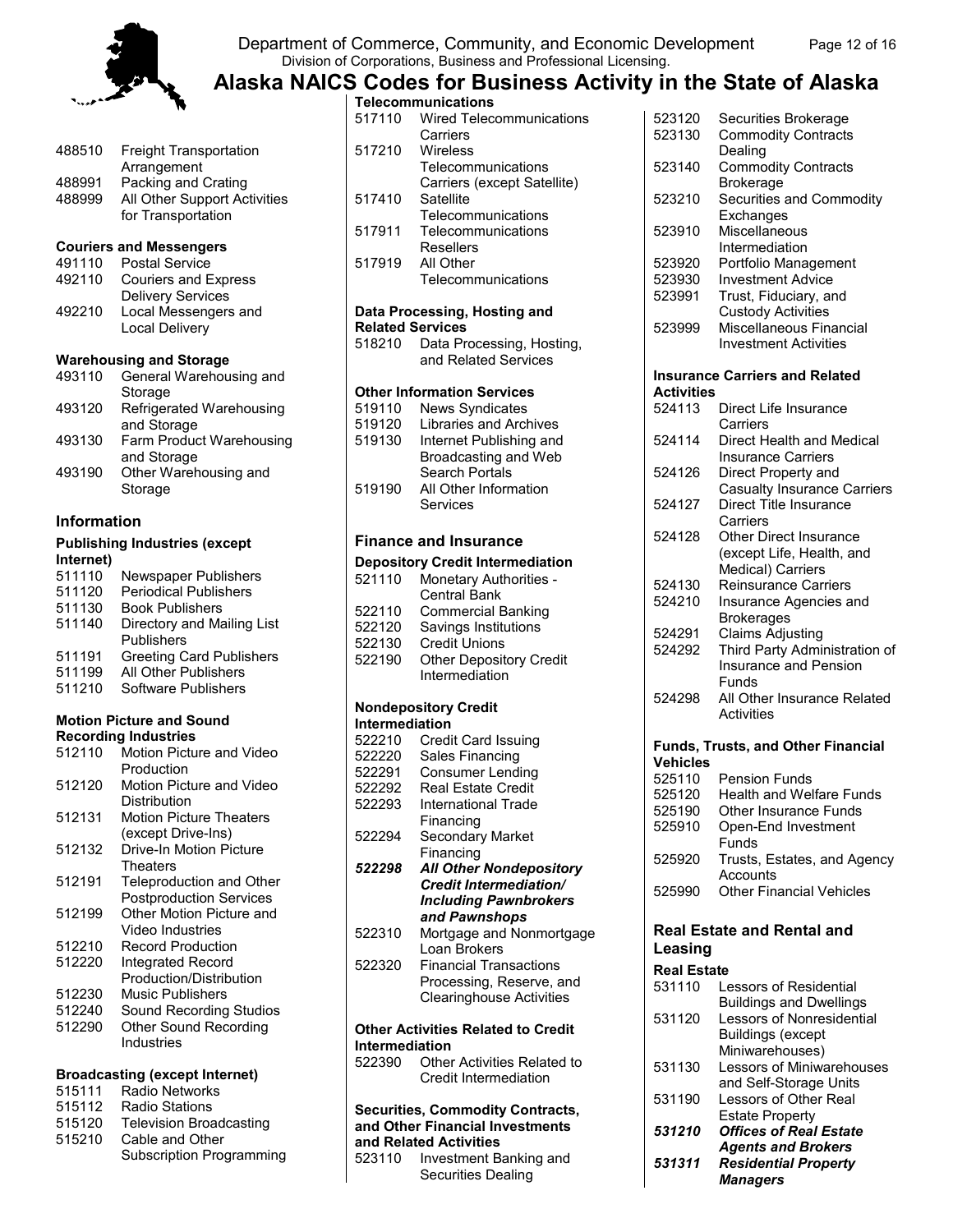

#### Department of Commerce, Community, and Economic Development Page 12 of 16 Division of Corporations, Business and Professional Licensing.

**Alaska NAICS Codes for Business Activity in the State of Alaska**

| 488510 | <b>Freight Transportation</b>  |
|--------|--------------------------------|
|        | Arrangement                    |
| 488991 | Packing and Crating            |
| 488999 | All Other Support Activities   |
|        | for Transportation             |
|        | <b>Couriers and Messengers</b> |
| 491110 | Postal Service                 |
| 492110 | <b>Couriers and Express</b>    |
|        | <b>Delivery Services</b>       |
| 492210 | Local Messengers and           |
|        | Local Delivery                 |
|        | <b>Warehousing and Storage</b> |
| 493110 | General Warehousing and        |
|        | Storage                        |
| 493120 | Refrigerated Warehousing       |
|        | and Storage                    |
| 493130 | Farm Product Warehousing       |
|        | and Storage                    |
| 493190 | Other Warehousing and          |
|        | Storage                        |
|        |                                |
|        |                                |

#### **Information**

#### **Publishing Industries (except Internet)**

| 511110 | Newspaper Publishers            |
|--------|---------------------------------|
| 511120 | <b>Periodical Publishers</b>    |
| 511130 | <b>Book Publishers</b>          |
| 511140 | Directory and Mailing List      |
|        | Publishers                      |
| 511191 | <b>Greeting Card Publishers</b> |
| 511199 | All Other Publishers            |
| 511210 | Software Publishers             |

#### **Motion Picture and Sound Recording Industries**

| 512110 | Motion Picture and Video        |
|--------|---------------------------------|
|        | Production                      |
| 512120 | Motion Picture and Video        |
|        | Distribution                    |
| 512131 | <b>Motion Picture Theaters</b>  |
|        | (except Drive-Ins)              |
| 512132 | Drive-In Motion Picture         |
|        | Theaters                        |
| 512191 | <b>Teleproduction and Other</b> |
|        | <b>Postproduction Services</b>  |
| 512199 | Other Motion Picture and        |
|        | Video Industries                |
| 512210 | <b>Record Production</b>        |
| 512220 | Integrated Record               |
|        | Production/Distribution         |
| 512230 | Music Publishers                |
| 512240 | Sound Recording Studios         |
| 512290 | <b>Other Sound Recording</b>    |
|        | Industries                      |
|        |                                 |

#### **Broadcasting (except Internet)**

- 515111 Radio Networks
- 515112 Radio Stations<br>515120 Television Broa
- 515120 Television Broadcasting<br>515210 Cable and Other
- Cable and Other
- Subscription Programming

|                         | Telecommunications                        |
|-------------------------|-------------------------------------------|
| 517110                  | <b>Wired Telecommunications</b>           |
|                         | Carriers                                  |
| 517210                  | Wireless                                  |
|                         | Telecommunications                        |
|                         | Carriers (except Satellite)               |
| 517410                  |                                           |
|                         | Satellite                                 |
|                         | Telecommunications                        |
| 517911                  | Telecommunications                        |
|                         | <b>Resellers</b>                          |
| 517919                  | All Other                                 |
|                         | Telecommunications                        |
|                         |                                           |
|                         | Data Processing, Hosting and              |
| <b>Related Services</b> |                                           |
| 518210                  | Data Processing, Hosting,                 |
|                         | and Related Services                      |
|                         |                                           |
|                         |                                           |
|                         | <b>Other Information Services</b>         |
| 519110                  | <b>News Syndicates</b>                    |
| 519120                  | <b>Libraries and Archives</b>             |
| 519130                  | Internet Publishing and                   |
|                         | Broadcasting and Web                      |
|                         | <b>Search Portals</b>                     |
| 519190                  | All Other Information                     |
|                         | Services                                  |
|                         |                                           |
|                         |                                           |
|                         | <b>Finance and Insurance</b>              |
|                         | <b>Depository Credit Intermediation</b>   |
| 521110                  | <b>Monetary Authorities -</b>             |
|                         | <b>Central Bank</b>                       |
|                         |                                           |
| 522110                  | <b>Commercial Banking</b>                 |
| 522120                  | Savings Institutions                      |
| 522130                  | <b>Credit Unions</b>                      |
| 522190                  | <b>Other Depository Credit</b>            |
|                         | Intermediation                            |
|                         |                                           |
|                         | <b>Nondepository Credit</b>               |
| Intermediation          |                                           |
|                         | 522210 Credit Card Issuing                |
| 522220                  | Sales Financing                           |
|                         | 522291 Consumer Lending                   |
| 522292                  | Real Estate Credit                        |
|                         |                                           |
| 522293                  | <b>International Trade</b>                |
|                         | Financing                                 |
| 522294                  | Secondary Market                          |
|                         | Financing                                 |
| 522298                  | <b>All Other Nondepository</b>            |
|                         | <b>Credit Intermediation/</b>             |
|                         | <b>Including Pawnbrokers</b>              |
|                         | and Pawnshops                             |
| 522310                  | Mortgage and Nonmortgage                  |
|                         | Loan Brokers                              |
| 522320                  | <b>Financial Transactions</b>             |
|                         | Processing, Reserve, and                  |
|                         |                                           |
|                         | <b>Clearinghouse Activities</b>           |
|                         |                                           |
|                         | <b>Other Activities Related to Credit</b> |
| <b>Intermediation</b>   |                                           |
| 522390                  | Other Activities Related to               |
|                         | Credit Intermediation                     |
|                         |                                           |
|                         | <b>Securities, Commodity Contracts,</b>   |
|                         | and Other Financial Investments           |
|                         | and Related Activities                    |
|                         |                                           |

523110 Investment Banking and Securities Dealing

| 523120             |                                           |
|--------------------|-------------------------------------------|
| 523130             | Securities Brokerage                      |
|                    | <b>Commodity Contracts</b>                |
|                    | Dealing                                   |
| 523140             | <b>Commodity Contracts</b>                |
|                    | <b>Brokerage</b>                          |
| 523210             | Securities and Commodity                  |
|                    | Exchanges                                 |
| 523910             | Miscellaneous                             |
|                    | Intermediation                            |
| 523920             | Portfolio Management                      |
| 523930             | <b>Investment Advice</b>                  |
| 523991             | Trust, Fiduciary, and                     |
|                    | <b>Custody Activities</b>                 |
| 523999             | Miscellaneous Financial                   |
|                    | <b>Investment Activities</b>              |
|                    | <b>Insurance Carriers and Related</b>     |
| <b>Activities</b>  |                                           |
| 524113             | Direct Life Insurance                     |
|                    |                                           |
|                    | Carriers                                  |
| 524114             | Direct Health and Medical                 |
|                    | <b>Insurance Carriers</b>                 |
| 524126             | Direct Property and                       |
|                    | <b>Casualty Insurance Carriers</b>        |
| 524127             | Direct Title Insurance                    |
|                    | Carriers                                  |
| 524128             | Other Direct Insurance                    |
|                    | (except Life, Health, and                 |
|                    | Medical) Carriers                         |
| 524130             | <b>Reinsurance Carriers</b>               |
| 524210             | Insurance Agencies and                    |
|                    | <b>Brokerages</b>                         |
| 524291             | <b>Claims Adjusting</b>                   |
| 524292             | Third Party Administration of             |
|                    | Insurance and Pension                     |
|                    | Funds                                     |
| 524298             | All Other Insurance Related               |
|                    | <b>Activities</b>                         |
|                    |                                           |
| <b>Vehicles</b>    | <b>Funds, Trusts, and Other Financial</b> |
| 525110             |                                           |
|                    | <b>Pension Funds</b>                      |
| 525120             | <b>Health and Welfare Funds</b>           |
| 525190             | Other Insurance Funds                     |
| 525910             | Open-End Investment                       |
|                    | Funds                                     |
| 525920             | Trusts, Estates, and Agency               |
|                    | Accounts                                  |
| 525990             | <b>Other Financial Vehicles</b>           |
|                    | <b>Real Estate and Rental and</b>         |
|                    |                                           |
| Leasing            |                                           |
| <b>Real Estate</b> |                                           |
| 531110             | <b>Lessors of Residential</b>             |
|                    | <b>Buildings and Dwellings</b>            |
| 531120             | Lessors of Nonresidential                 |
|                    | <b>Buildings (except</b>                  |
|                    | Miniwarehouses)                           |
| 531130             | Lessors of Miniwarehouses                 |
|                    | and Self-Storage Units                    |
| 531190             | Lessors of Other Real                     |
|                    | <b>Estate Property</b>                    |
| 531210             | <b>Offices of Real Estate</b>             |

*Agents and Brokers*

*531311 Residential Property Managers*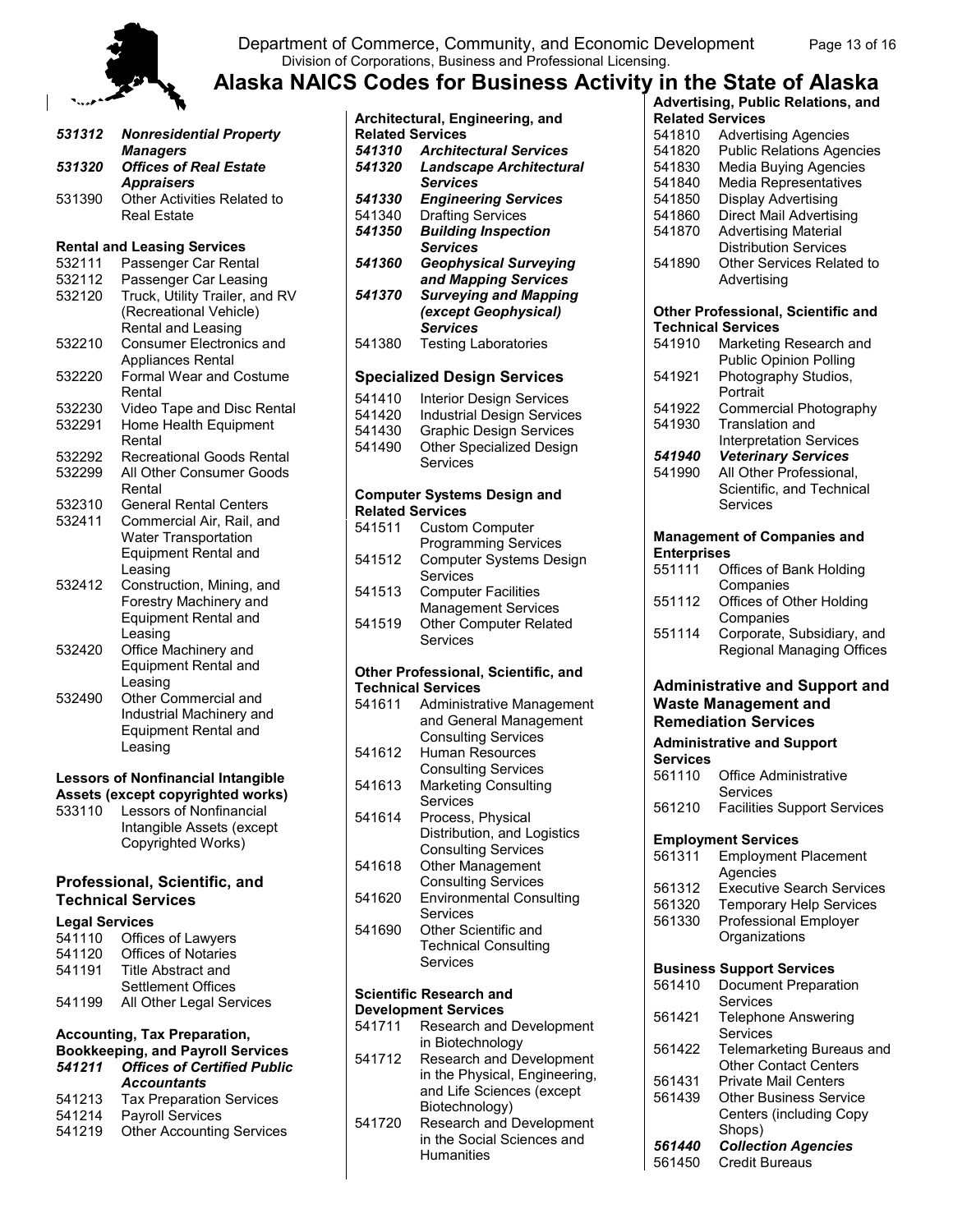

#### Department of Commerce, Community, and Economic Development Page 13 of 16 Division of Corporations, Business and Professional Licensing.

## **Alaska NAICS Codes for Business Activity in the State of Alaska**

| 531312 | <b>Nonresidential Property</b><br><b>Managers</b>                                                     |
|--------|-------------------------------------------------------------------------------------------------------|
| 531320 | <b>Offices of Real Estate</b>                                                                         |
| 531390 | <b>Appraisers</b><br>Other Activities Related to<br>Real Estate                                       |
|        | <b>Rental and Leasing Services</b>                                                                    |
| 532111 | Passenger Car Rental                                                                                  |
| 532112 | Passenger Car Leasing                                                                                 |
| 532120 | Truck, Utility Trailer, and RV<br>(Recreational Vehicle)<br>Rental and Leasing                        |
| 532210 | <b>Consumer Electronics and</b><br>Appliances Rental                                                  |
| 532220 | <b>Formal Wear and Costume</b><br>Rental                                                              |
| 532230 | Video Tape and Disc Rental                                                                            |
| 532291 | Home Health Equipment<br>Rental                                                                       |
| 532292 | <b>Recreational Goods Rental</b>                                                                      |
| 532299 | All Other Consumer Goods<br>Rental                                                                    |
| 532310 | <b>General Rental Centers</b>                                                                         |
| 532411 | Commercial Air, Rail, and<br><b>Water Transportation</b>                                              |
|        | <b>Equipment Rental and</b><br>Leasing                                                                |
| 532412 | Construction, Mining, and<br>Forestry Machinery and<br>Equipment Rental and                           |
|        | Leasing                                                                                               |
| 532420 | Office Machinery and<br><b>Equipment Rental and</b>                                                   |
| 532490 | Leasing<br>Other Commercial and<br>Industrial Machinery and<br><b>Equipment Rental and</b><br>Leasing |

#### **Lessors of Nonfinancial Intangible Assets (except copyrighted works)**

533110 Lessors of Nonfinancial Intangible Assets (except Copyrighted Works)

#### **Professional, Scientific, and Technical Services**

#### **Legal Services**

| 541110 | Offices of Lawyers         |
|--------|----------------------------|
| 541120 | <b>Offices of Notaries</b> |
| 541191 | Title Abstract and         |
|        | Settlement Offices         |
| 541199 | All Other Legal Services   |
|        |                            |

#### **Accounting, Tax Preparation,**

#### **Bookkeeping, and Payroll Services** *541211 Offices of Certified Public Accountants*

- 541213 Tax Preparation Services<br>541214 Payroll Services
- Payroll Services
- 541219 Other Accounting Services

|        | Architectural, Engineering, and                               |
|--------|---------------------------------------------------------------|
|        | <b>Related Services</b>                                       |
| 541310 | <b>Architectural Services</b>                                 |
| 541320 | <b>Landscape Architectural</b><br><b>Services</b>             |
| 541330 | <b>Engineering Services</b>                                   |
| 541340 | <b>Drafting Services</b>                                      |
| 541350 | <b>Building Inspection</b>                                    |
|        | <b>Services</b>                                               |
| 541360 | <b>Geophysical Surveying</b>                                  |
| 541370 | and Mapping Services<br><b>Surveying and Mapping</b>          |
|        | (except Geophysical)                                          |
|        | <b>Services</b>                                               |
| 541380 | <b>Testing Laboratories</b>                                   |
|        |                                                               |
|        | <b>Specialized Design Services</b>                            |
| 541410 | <b>Interior Design Services</b>                               |
| 541420 | <b>Industrial Design Services</b>                             |
| 541430 | <b>Graphic Design Services</b>                                |
| 541490 | Other Specialized Design<br>Services                          |
|        |                                                               |
|        | <b>Computer Systems Design and</b><br><b>Related Services</b> |
| 541511 |                                                               |
|        | <b>Custom Computer</b><br><b>Programming Services</b>         |
| 541512 | <b>Computer Systems Design</b>                                |
|        | Services                                                      |
| 541513 | <b>Computer Facilities</b>                                    |
|        | <b>Management Services</b>                                    |
| 541519 | <b>Other Computer Related</b>                                 |
|        | Services                                                      |
|        | Other Professional, Scientific, and                           |
|        | <b>Technical Services</b>                                     |
| 541611 | Administrative Management                                     |
|        | and General Management                                        |
|        | <b>Consulting Services</b>                                    |
| 541612 | <b>Human Resources</b>                                        |
| 541613 | <b>Consulting Services</b><br><b>Marketing Consulting</b>     |
|        | Services                                                      |
| 541614 | Process, Physical                                             |
|        |                                                               |
|        | Distribution, and Logistics<br>Consulting Services            |
| 541618 | Other Management                                              |
|        | <b>Consulting Services</b>                                    |
| 541620 | <b>Environmental Consulting</b>                               |
|        | Services                                                      |
| 541690 | Other Scientific and                                          |
|        | <b>Technical Consulting</b><br>Services                       |
|        |                                                               |
|        | <b>Scientific Research and</b>                                |
|        | <b>Development Services</b>                                   |
| 541711 | Research and Development                                      |
|        | in Biotechnology                                              |
| 541712 | Research and Development                                      |

## in the Physical, Engineering, and Life Sciences (except Biotechnology)

541720 Research and Development in the Social Sciences and **Humanities** 

| in the State of Alaska                    |
|-------------------------------------------|
| <b>Advertising, Public Relations, and</b> |
| <b>Related Services</b>                   |
| 541810 Advertising Agencies               |
|                                           |

| 541810<br>541820<br>541830<br>541840<br>541850 | <b>Advertising Agencies</b><br><b>Public Relations Agencies</b><br><b>Media Buying Agencies</b><br><b>Media Representatives</b><br>Display Advertising |
|------------------------------------------------|--------------------------------------------------------------------------------------------------------------------------------------------------------|
| 541860<br>541870                               | <b>Direct Mail Advertising</b><br><b>Advertising Material</b><br><b>Distribution Services</b>                                                          |
| 541890                                         | Other Services Related to<br>Advertising                                                                                                               |
|                                                | Other Professional, Scientific and<br><b>Technical Services</b>                                                                                        |
| 541910                                         | Marketing Research and                                                                                                                                 |
| 541921                                         | <b>Public Opinion Polling</b><br>Photography Studios,<br>Portrait                                                                                      |
| 541922                                         | Commercial Photography                                                                                                                                 |
| 541930                                         | <b>Translation and</b>                                                                                                                                 |
| 541940                                         | <b>Interpretation Services</b><br><b>Veterinary Services</b>                                                                                           |
| 541990                                         | All Other Professional,                                                                                                                                |
|                                                | Scientific, and Technical<br>Services                                                                                                                  |
|                                                | <b>Management of Companies and</b>                                                                                                                     |
| <b>Enterprises</b><br>551111                   | Offices of Bank Holding                                                                                                                                |
|                                                | Companies                                                                                                                                              |
| 551112                                         | Offices of Other Holding<br>Companies                                                                                                                  |
| 551114                                         | Corporate, Subsidiary, and                                                                                                                             |
|                                                | Regional Managing Offices                                                                                                                              |
|                                                |                                                                                                                                                        |
|                                                | <b>Administrative and Support and</b>                                                                                                                  |
|                                                | <b>Waste Management and</b><br><b>Remediation Services</b>                                                                                             |
| <b>Services</b>                                | <b>Administrative and Support</b>                                                                                                                      |
| 561110                                         | <b>Office Administrative</b>                                                                                                                           |
| 561210                                         | Services<br><b>Facilities Support Services</b>                                                                                                         |
|                                                | <b>Employment Services</b>                                                                                                                             |
| 561311                                         | <b>Employment Placement</b>                                                                                                                            |
|                                                | Agencies                                                                                                                                               |
| 561312<br>561320                               | <b>Executive Search Services</b>                                                                                                                       |
| 561330                                         | <b>Temporary Help Services</b><br><b>Professional Employer</b>                                                                                         |
|                                                | Organizations                                                                                                                                          |
|                                                |                                                                                                                                                        |
| 561410                                         | <b>Business Support Services</b><br>Document Preparation                                                                                               |
|                                                | Services                                                                                                                                               |
| 561421                                         | <b>Telephone Answering</b>                                                                                                                             |
| 561422                                         | Services<br>Telemarketing Bureaus and                                                                                                                  |
| 561431                                         | <b>Other Contact Centers</b><br><b>Private Mail Centers</b>                                                                                            |
| 561439                                         | <b>Other Business Service</b>                                                                                                                          |
|                                                | <b>Centers (including Copy</b>                                                                                                                         |
| 561440                                         | Shops)<br><b>Collection Agencies</b>                                                                                                                   |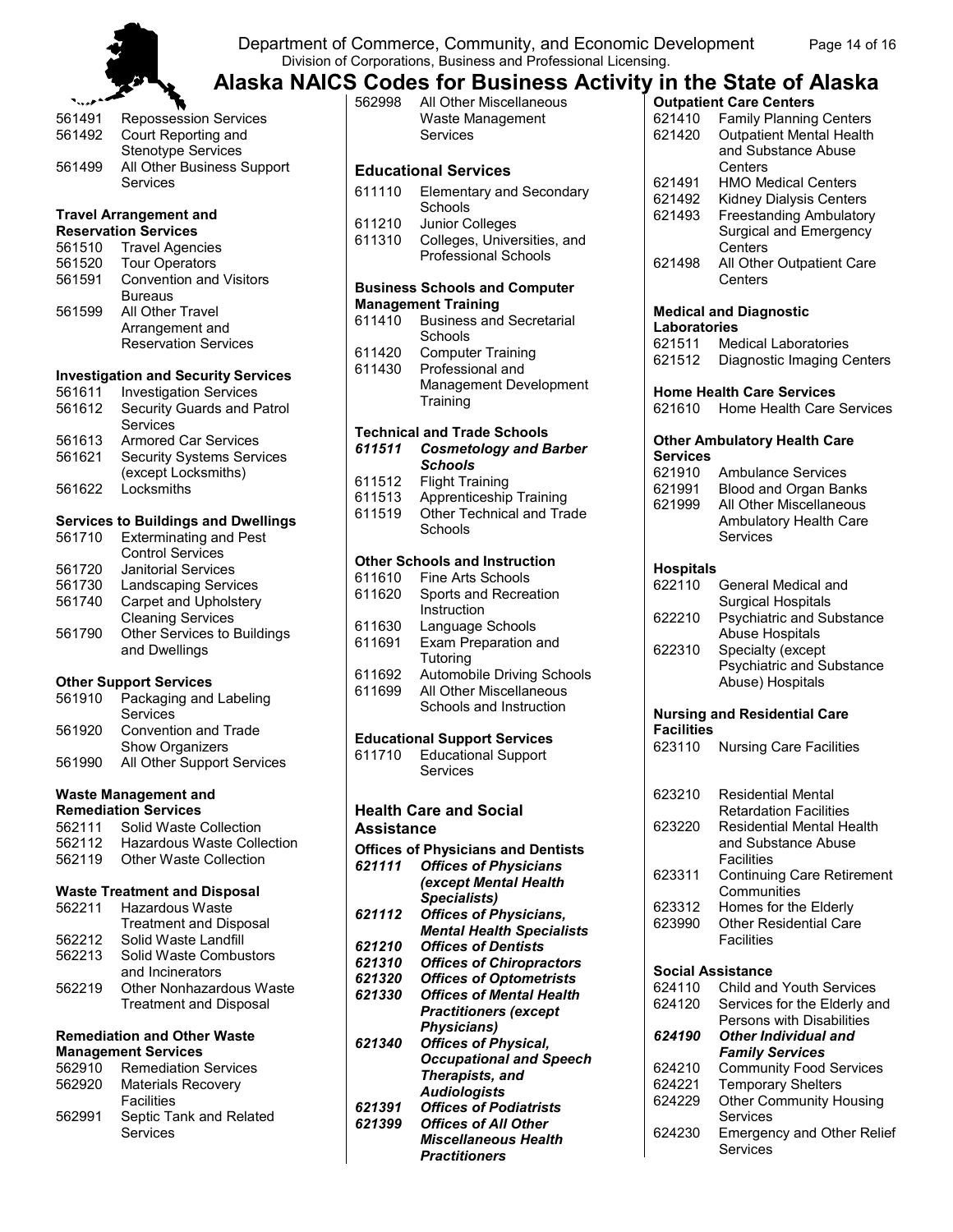Department of Commerce, Community, and Economic Development Page 14 of 16 Division of Corporations, Business and Professional Licensing.



## **Alaska NAICS Codes for Business Activity in the State of Alaska**

| <b>Repossession Services</b>           |
|----------------------------------------|
| Court Reporting and                    |
| <b>Stenotype Services</b>              |
| All Other Business Support<br>Services |
|                                        |

#### **Travel Arrangement and Reservation Services**

| 561510 | <b>Travel Agencies</b>                                                               |
|--------|--------------------------------------------------------------------------------------|
| 561520 | <b>Tour Operators</b>                                                                |
| 561591 | <b>Convention and Visitors</b>                                                       |
| 561599 | <b>Bureaus</b><br>All Other Travel<br>Arrangement and<br><b>Reservation Services</b> |

#### **Investigation and Security Services**

| 561611 | <b>Investigation Services</b>    |
|--------|----------------------------------|
| 561612 | Security Guards and Patrol       |
|        | Services                         |
| 561613 | <b>Armored Car Services</b>      |
| 561621 | <b>Security Systems Services</b> |
|        | (except Locksmiths)              |
| 561622 | Locksmiths                       |
|        |                                  |
|        |                                  |

#### **Services to Buildings and Dwellings**

| 561710                        | <b>Exterminating and Pest</b> |
|-------------------------------|-------------------------------|
|                               | <b>Control Services</b>       |
| 561720                        | <b>Janitorial Services</b>    |
| 561730                        | <b>Landscaping Services</b>   |
| 561740                        | Carpet and Upholstery         |
|                               | <b>Cleaning Services</b>      |
| 561790                        | Other Services to Buildings   |
|                               | and Dwellings                 |
| <b>Other Support Services</b> |                               |

| 561910 | Packaging and Labeling<br>Services      |
|--------|-----------------------------------------|
| 561920 | Convention and Trade<br>Show Organizers |
| 561990 | All Other Support Services              |

#### **Waste Management and Remediation Services**

| 562111 | Solid Waste Collection            |
|--------|-----------------------------------|
| 562112 | <b>Hazardous Waste Collection</b> |
| 562119 | Other Waste Collection            |

#### **Waste Treatment and Disposal**

| 562211 | <b>Hazardous Waste</b>          |
|--------|---------------------------------|
|        | <b>Treatment and Disposal</b>   |
| 562212 | Solid Waste Landfill            |
| 562213 | Solid Waste Combustors          |
|        | and Incinerators                |
| 562219 | <b>Other Nonhazardous Waste</b> |
|        | <b>Treatment and Disposal</b>   |
|        |                                 |

#### **Remediation and Other Waste Management Services**

| 562910 | <b>Remediation Services</b> |
|--------|-----------------------------|
| 562920 | <b>Materials Recovery</b>   |
|        | <b>Facilities</b>           |
| 562991 | Septic Tank and Related     |
|        | <b>Services</b>             |

| 562998           | All Other Miscellaneous<br>Waste Management<br>Services           |
|------------------|-------------------------------------------------------------------|
|                  | <b>Educational Services</b>                                       |
| 611110           | <b>Elementary and Secondary</b>                                   |
|                  | Schools                                                           |
| 611210           | Junior Colleges                                                   |
| 611310           | Colleges, Universities, and<br><b>Professional Schools</b>        |
|                  |                                                                   |
|                  | <b>Business Schools and Computer</b>                              |
| 611410           | <b>Management Training</b><br><b>Business and Secretarial</b>     |
|                  | Schools                                                           |
| 611420           | <b>Computer Training</b>                                          |
| 611430           | Professional and                                                  |
|                  | Management Development<br>Training                                |
|                  |                                                                   |
|                  | <b>Technical and Trade Schools</b>                                |
| 611511           | <b>Cosmetology and Barber</b><br><b>Schools</b>                   |
| 611512           | <b>Flight Training</b>                                            |
| 611513           | Apprenticeship Training                                           |
| 611519           | Other Technical and Trade<br>Schools                              |
|                  |                                                                   |
|                  | <b>Other Schools and Instruction</b>                              |
| 611610<br>611620 | <b>Fine Arts Schools</b>                                          |
|                  | Sports and Recreation<br>Instruction                              |
| 611630           | Language Schools                                                  |
| 611691           | Exam Preparation and                                              |
| 611692           | Tutoring<br><b>Automobile Driving Schools</b>                     |
| 611699           | All Other Miscellaneous                                           |
|                  | Schools and Instruction                                           |
|                  | <b>Educational Support Services</b>                               |
| 611710           | <b>Educational Support</b>                                        |
|                  | Services                                                          |
|                  |                                                                   |
| Assistance       | <b>Health Care and Social</b>                                     |
|                  | <b>Offices of Physicians and Dentists</b>                         |
| 621111           | <b>Offices of Physicians</b>                                      |
|                  | (except Mental Health                                             |
|                  | Specialists)                                                      |
| 621112           | <b>Offices of Physicians,</b><br><b>Mental Health Specialists</b> |
| 621210           | <b>Offices of Dentists</b>                                        |
| 621310           | <b>Offices of Chiropractors</b>                                   |
| 621320           | <b>Offices of Optometrists</b><br><b>Offices of Mental Health</b> |
| 621330           | <b>Practitioners (except</b>                                      |
|                  | <b>Physicians)</b>                                                |
| 621340           | <b>Offices of Physical,</b>                                       |
|                  | <b>Occupational and Speech</b><br>Therapists, and                 |
|                  | <b>Audiologists</b>                                               |

*621391 Offices of Podiatrists*

*621399 Offices of All Other* 

*Miscellaneous Health Practitioners*

|                          | <b>Outpatient Care Centers</b>                           |
|--------------------------|----------------------------------------------------------|
| 621410                   | <b>Family Planning Centers</b>                           |
| 621420                   | <b>Outpatient Mental Health</b>                          |
|                          | and Substance Abuse                                      |
|                          | Centers                                                  |
| 621491                   | <b>HMO Medical Centers</b>                               |
| 621492                   | <b>Kidney Dialysis Centers</b>                           |
| 621493                   | <b>Freestanding Ambulatory</b>                           |
|                          | Surgical and Emergency                                   |
|                          | Centers                                                  |
| 621498                   | All Other Outpatient Care                                |
|                          | Centers                                                  |
|                          |                                                          |
| Laboratories             | <b>Medical and Diagnostic</b>                            |
| 621511                   | <b>Medical Laboratories</b>                              |
| 621512                   | Diagnostic Imaging Centers                               |
|                          |                                                          |
|                          | <b>Home Health Care Services</b>                         |
| 621610                   | Home Health Care Services                                |
|                          |                                                          |
|                          | <b>Other Ambulatory Health Care</b>                      |
| Services                 |                                                          |
| 621910                   | <b>Ambulance Services</b>                                |
| 621991                   | Blood and Organ Banks                                    |
| 621999                   | All Other Miscellaneous                                  |
|                          | Ambulatory Health Care                                   |
|                          | Services                                                 |
| <b>Hospitals</b>         |                                                          |
| 622110                   | General Medical and                                      |
|                          | <b>Surgical Hospitals</b>                                |
| 622210                   | <b>Psychiatric and Substance</b>                         |
|                          | <b>Abuse Hospitals</b>                                   |
| 622310                   | Specialty (except                                        |
|                          | <b>Psychiatric and Substance</b>                         |
|                          | Abuse) Hospitals                                         |
|                          |                                                          |
|                          | <b>Nursing and Residential Care</b>                      |
| <b>Facilities</b>        |                                                          |
| 623110                   | <b>Nursing Care Facilities</b>                           |
|                          |                                                          |
| 623210                   | <b>Residential Mental</b>                                |
|                          | <b>Retardation Facilities</b>                            |
| 623220                   | <b>Residential Mental Health</b>                         |
|                          | and Substance Abuse                                      |
|                          | Facilities                                               |
| 623311                   | <b>Continuing Care Retirement</b>                        |
|                          | Communities                                              |
| 623312                   | Homes for the Elderly                                    |
| 623990                   | <b>Other Residential Care</b>                            |
|                          | Facilities                                               |
|                          |                                                          |
| <b>Social Assistance</b> |                                                          |
| 624110<br>624120         | Child and Youth Services<br>Services for the Elderly and |
|                          | Persons with Disabilities                                |
| 624190                   | <b>Other Individual and</b>                              |
|                          | <b>Family Services</b>                                   |
| 624210                   | <b>Community Food Services</b>                           |
| 624221                   | <b>Temporary Shelters</b>                                |
| 624229                   | <b>Other Community Housing</b>                           |
|                          | Services                                                 |
|                          |                                                          |

624230 Emergency and Other Relief Services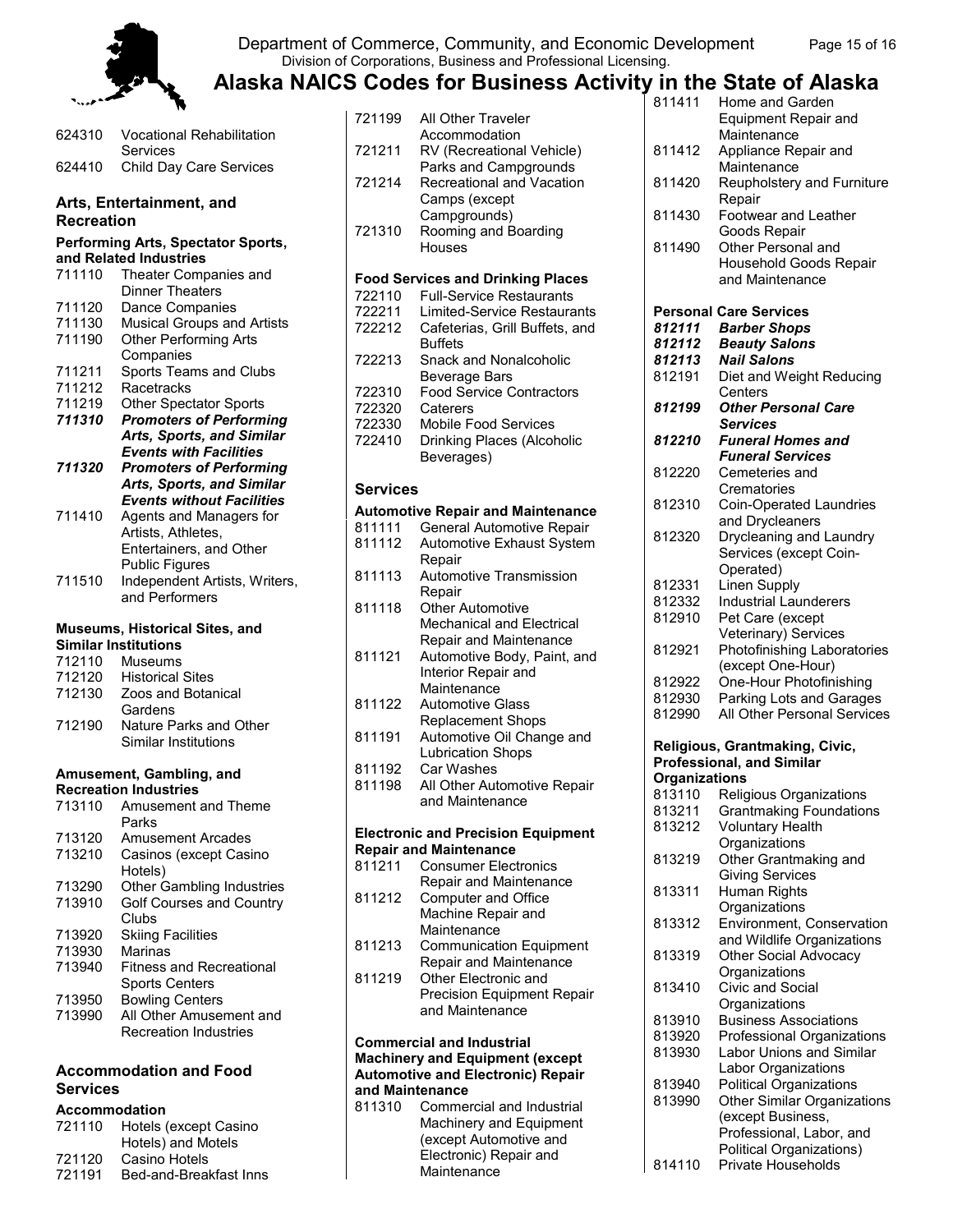

#### Department of Commerce, Community, and Economic Development Page 15 of 16 Division of Corporations, Business and Professional Licensing.

| 624310            | <b>Vocational Rehabilitation</b><br>Services                        |
|-------------------|---------------------------------------------------------------------|
| 624410            | Child Day Care Services                                             |
|                   |                                                                     |
| <b>Recreation</b> | Arts, Entertainment, and                                            |
|                   |                                                                     |
|                   | <b>Performing Arts, Spectator Sports,</b><br>and Related Industries |
| 711110            | Theater Companies and                                               |
|                   | <b>Dinner Theaters</b>                                              |
| 711120            | Dance Companies                                                     |
| 711130            | <b>Musical Groups and Artists</b>                                   |
| 711190            | <b>Other Performing Arts</b>                                        |
|                   | Companies                                                           |
| 711211            | Sports Teams and Clubs                                              |
| 711212            | Racetracks                                                          |
| 711219            | <b>Other Spectator Sports</b>                                       |
| 711310            | <b>Promoters of Performing</b>                                      |
|                   | Arts, Sports, and Similar                                           |
|                   | <b>Events with Facilities</b>                                       |
| 711320            | <b>Promoters of Performing</b>                                      |
|                   | <b>Arts, Sports, and Similar</b>                                    |
| 711410            | <b>Events without Facilities</b>                                    |
|                   | Agents and Managers for<br>Artists, Athletes,                       |
|                   | Entertainers, and Other                                             |
|                   | <b>Public Figures</b>                                               |
| 711510            | Independent Artists, Writers,                                       |
|                   | and Performers                                                      |
|                   |                                                                     |
|                   | Museums, Historical Sites, and                                      |

#### **Museums, Historical Sites, and Similar Institutions**

| 712110 | <b>Museums</b>          |
|--------|-------------------------|
| 712120 | <b>Historical Sites</b> |
| 712130 | Zoos and Botanical      |
|        | Gardens                 |
| 712190 | Nature Parks and Other  |
|        | Similar Institutions    |

#### **Amusement, Gambling, and Recreation Industries**

| 713110 | Amusement and Theme             |
|--------|---------------------------------|
|        | Parks                           |
| 713120 | <b>Amusement Arcades</b>        |
| 713210 | Casinos (except Casino          |
|        | Hotels)                         |
| 713290 | Other Gambling Industries       |
| 713910 | Golf Courses and Country        |
|        | Clubs                           |
| 713920 | <b>Skiing Facilities</b>        |
| 713930 | Marinas                         |
| 713940 | <b>Fitness and Recreational</b> |
|        | <b>Sports Centers</b>           |
| 713950 | <b>Bowling Centers</b>          |
| 713990 | All Other Amusement and         |
|        | <b>Recreation Industries</b>    |

#### **Accommodation and Food Services**

#### **Accommodation**

| 721110 | Hotels (except Casino  |
|--------|------------------------|
|        | Hotels) and Motels     |
| 721120 | Casino Hotels          |
| 721191 | Bed-and-Breakfast Inns |

| 721199 | All Other Traveler                       |
|--------|------------------------------------------|
|        | Accommodation                            |
| 721211 | RV (Recreational Vehicle)                |
|        | Parks and Campgrounds                    |
| 721214 | Recreational and Vacation                |
|        | Camps (except                            |
|        | Campgrounds)                             |
| 721310 | Rooming and Boarding                     |
|        | Houses                                   |
|        |                                          |
|        | <b>Food Services and Drinking Places</b> |
| 722110 |                                          |
|        | <b>Full-Service Restaurants</b>          |
| 722211 | Limited-Service Restaurants              |
| 722212 | Cafeterias, Grill Buffets, and           |
|        | <b>Buffets</b>                           |
| 722213 | Snack and Nonalcoholic                   |
|        | Beverage Bars                            |
| 722310 | <b>Food Service Contractors</b>          |
| 722320 | Caterers                                 |
| 722330 | Mobile Food Services                     |
| 722410 | Drinking Places (Alcoholic               |
|        | Beverages)                               |

#### **Services**

#### **Automotive Repair and Maintenance**

| 811111 | General Automotive Repair        |
|--------|----------------------------------|
| 811112 | <b>Automotive Exhaust System</b> |
|        | Repair                           |
| 811113 | <b>Automotive Transmission</b>   |
|        | Repair                           |
| 811118 | <b>Other Automotive</b>          |
|        | <b>Mechanical and Electrical</b> |

|        | Repair and Maintenance      |
|--------|-----------------------------|
| 811121 | Automotive Body, Paint, and |
|        | Interior Repair and         |
|        | Maintenance                 |
| 811122 | <b>Automotive Glass</b>     |
|        | <b>Replacement Shops</b>    |
| 811191 | Automotive Oil Change and   |
|        | <b>Lubrication Shops</b>    |
| 811192 | Car Washes                  |
| 811198 | All Other Automotive Repair |
|        | and Maintenance             |

#### **Electronic and Precision Equipment Repair and Maintenance**

| 811211 | <b>Consumer Electronics</b>    |
|--------|--------------------------------|
|        | Repair and Maintenance         |
| 811212 | Computer and Office            |
|        | Machine Repair and             |
|        | Maintenance                    |
| 811213 | <b>Communication Equipment</b> |
|        | Repair and Maintenance         |
| 811219 | Other Electronic and           |
|        |                                |

Precision Equipment Repair and Maintenance

#### **Commercial and Industrial Machinery and Equipment (except Automotive and Electronic) Repair and Maintenance**

811310 Commercial and Industrial Machinery and Equipment (except Automotive and Electronic) Repair and **Maintenance** 

| 811411                           | Home and Garden                     |
|----------------------------------|-------------------------------------|
|                                  | <b>Equipment Repair and</b>         |
|                                  | Maintenance                         |
| 811412                           | Appliance Repair and                |
|                                  | Maintenance                         |
| 811420                           | Reupholstery and Furniture          |
|                                  | Repair                              |
| 811430                           | <b>Footwear and Leather</b>         |
| 811490                           | Goods Repair<br>Other Personal and  |
|                                  | Household Goods Repair              |
|                                  | and Maintenance                     |
|                                  |                                     |
|                                  | <b>Personal Care Services</b>       |
| 812111                           | <b>Barber Shops</b>                 |
| 812112                           | <b>Beauty Salons</b>                |
| 812113                           | <b>Nail Salons</b>                  |
| 812191                           | Diet and Weight Reducing            |
|                                  | Centers                             |
| 812199                           | <b>Other Personal Care</b>          |
|                                  | <b>Services</b>                     |
| 812210                           | <b>Funeral Homes and</b>            |
|                                  | <b>Funeral Services</b>             |
| 812220                           | Cemeteries and                      |
|                                  | Crematories                         |
| 812310                           | <b>Coin-Operated Laundries</b>      |
|                                  | and Drycleaners                     |
| 812320                           | Drycleaning and Laundry             |
|                                  | Services (except Coin-<br>Operated) |
| 812331                           | Linen Supply                        |
| 812332                           | <b>Industrial Launderers</b>        |
| 812910                           | Pet Care (except                    |
|                                  | Veterinary) Services                |
| 812921                           | Photofinishing Laboratories         |
|                                  | (except One-Hour)                   |
| 812922                           | One-Hour Photofinishing             |
| 812930                           | Parking Lots and Garages            |
| 812990                           | All Other Personal Services         |
|                                  |                                     |
| Religious, Grantmaking, Civic,   |                                     |
| <b>Professional, and Similar</b> |                                     |
| <b>Organizations</b>             |                                     |
|                                  | $0.40440$ Deligious Ossanipatio     |

| 813110 | Religious Organizations            |
|--------|------------------------------------|
| 813211 | <b>Grantmaking Foundations</b>     |
| 813212 | <b>Voluntary Health</b>            |
|        | Organizations                      |
| 813219 | Other Grantmaking and              |
|        | <b>Giving Services</b>             |
| 813311 | Human Rights                       |
|        | Organizations                      |
| 813312 | Environment, Conservation          |
|        | and Wildlife Organizations         |
| 813319 | <b>Other Social Advocacy</b>       |
|        | Organizations                      |
| 813410 | Civic and Social                   |
|        | Organizations                      |
| 813910 | <b>Business Associations</b>       |
| 813920 | Professional Organizations         |
| 813930 | <b>Labor Unions and Similar</b>    |
|        | Labor Organizations                |
| 813940 | <b>Political Organizations</b>     |
| 813990 | <b>Other Similar Organizations</b> |
|        | (except Business,                  |
|        | Professional, Labor, and           |
|        | Political Organizations)           |
| 814110 | Private Households                 |
|        |                                    |